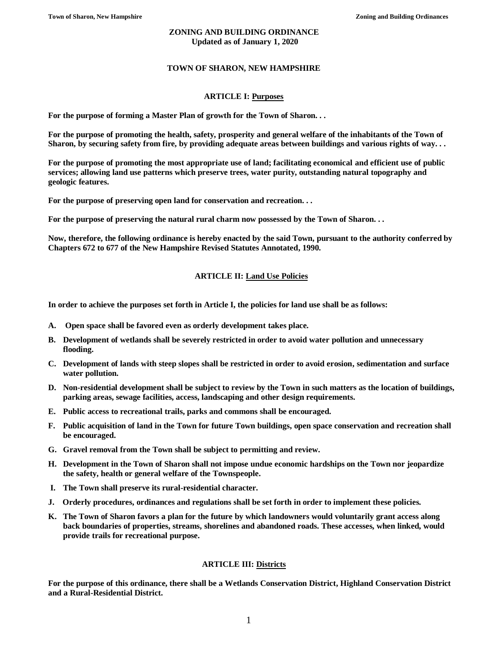### **ZONING AND BUILDING ORDINANCE Updated as of January 1, 2020**

## **TOWN OF SHARON, NEW HAMPSHIRE**

## **ARTICLE I: Purposes**

**For the purpose of forming a Master Plan of growth for the Town of Sharon. . .**

**For the purpose of promoting the health, safety, prosperity and general welfare of the inhabitants of the Town of Sharon, by securing safety from fire, by providing adequate areas between buildings and various rights of way. . .**

**For the purpose of promoting the most appropriate use of land; facilitating economical and efficient use of public services; allowing land use patterns which preserve trees, water purity, outstanding natural topography and geologic features.**

**For the purpose of preserving open land for conservation and recreation. . .**

**For the purpose of preserving the natural rural charm now possessed by the Town of Sharon. . .**

**Now, therefore, the following ordinance is hereby enacted by the said Town, pursuant to the authority conferred by Chapters 672 to 677 of the New Hampshire Revised Statutes Annotated, 1990.**

## **ARTICLE II: Land Use Policies**

**In order to achieve the purposes set forth in Article I, the policies for land use shall be as follows:**

- **A. Open space shall be favored even as orderly development takes place.**
- **B. Development of wetlands shall be severely restricted in order to avoid water pollution and unnecessary flooding.**
- **C. Development of lands with steep slopes shall be restricted in order to avoid erosion, sedimentation and surface water pollution.**
- **D. Non-residential development shall be subject to review by the Town in such matters as the location of buildings, parking areas, sewage facilities, access, landscaping and other design requirements.**
- **E. Public access to recreational trails, parks and commons shall be encouraged.**
- **F. Public acquisition of land in the Town for future Town buildings, open space conservation and recreation shall be encouraged.**
- **G. Gravel removal from the Town shall be subject to permitting and review.**
- **H. Development in the Town of Sharon shall not impose undue economic hardships on the Town nor jeopardize the safety, health or general welfare of the Townspeople.**
- **I. The Town shall preserve its rural-residential character.**
- **J. Orderly procedures, ordinances and regulations shall be set forth in order to implement these policies.**
- **K. The Town of Sharon favors a plan for the future by which landowners would voluntarily grant access along back boundaries of properties, streams, shorelines and abandoned roads. These accesses, when linked, would provide trails for recreational purpose.**

## **ARTICLE III: Districts**

**For the purpose of this ordinance, there shall be a Wetlands Conservation District, Highland Conservation District and a Rural-Residential District.**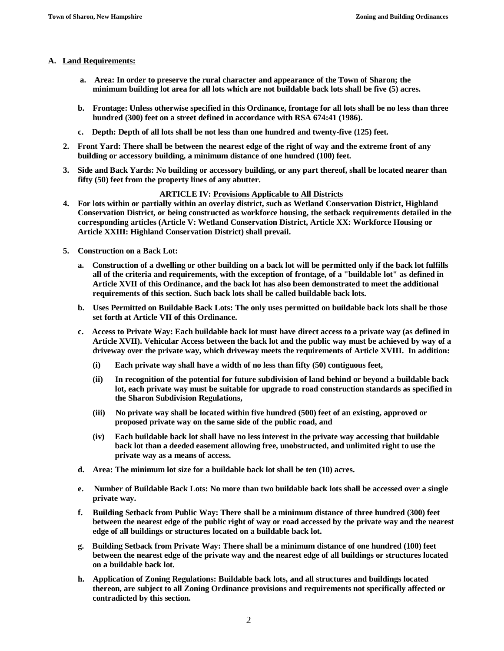### **A. Land Requirements:**

- **a. Area: In order to preserve the rural character and appearance of the Town of Sharon; the minimum building lot area for all lots which are not buildable back lots shall be five (5) acres.**
- **b. Frontage: Unless otherwise specified in this Ordinance, frontage for all lots shall be no less than three hundred (300) feet on a street defined in accordance with RSA 674:41 (1986).**
- **c. Depth: Depth of all lots shall be not less than one hundred and twenty-five (125) feet.**
- **2. Front Yard: There shall be between the nearest edge of the right of way and the extreme front of any building or accessory building, a minimum distance of one hundred (100) feet.**
- **3. Side and Back Yards: No building or accessory building, or any part thereof, shall be located nearer than fifty (50) feet from the property lines of any abutter.**

### **ARTICLE IV: Provisions Applicable to All Districts**

- **4. For lots within or partially within an overlay district, such as Wetland Conservation District, Highland Conservation District, or being constructed as workforce housing, the setback requirements detailed in the corresponding articles (Article V: Wetland Conservation District, Article XX: Workforce Housing or Article XXIII: Highland Conservation District) shall prevail.**
- **5. Construction on a Back Lot:** 
	- **a. Construction of a dwelling or other building on a back lot will be permitted only if the back lot fulfills all of the criteria and requirements, with the exception of frontage, of a "buildable lot" as defined in Article XVII of this Ordinance, and the back lot has also been demonstrated to meet the additional requirements of this section. Such back lots shall be called buildable back lots.**
	- **b. Uses Permitted on Buildable Back Lots: The only uses permitted on buildable back lots shall be those set forth at Article VII of this Ordinance.**
	- **c. Access to Private Way: Each buildable back lot must have direct access to a private way (as defined in Article XVII). Vehicular Access between the back lot and the public way must be achieved by way of a driveway over the private way, which driveway meets the requirements of Article XVIII. In addition:**
		- **(i) Each private way shall have a width of no less than fifty (50) contiguous feet,**
		- **(ii) In recognition of the potential for future subdivision of land behind or beyond a buildable back lot, each private way must be suitable for upgrade to road construction standards as specified in the Sharon Subdivision Regulations,**
		- **(iii) No private way shall be located within five hundred (500) feet of an existing, approved or proposed private way on the same side of the public road, and**
		- **(iv) Each buildable back lot shall have no less interest in the private way accessing that buildable back lot than a deeded easement allowing free, unobstructed, and unlimited right to use the private way as a means of access.**
	- **d. Area: The minimum lot size for a buildable back lot shall be ten (10) acres.**
	- **e. Number of Buildable Back Lots: No more than two buildable back lots shall be accessed over a single private way.**
	- **f. Building Setback from Public Way: There shall be a minimum distance of three hundred (300) feet between the nearest edge of the public right of way or road accessed by the private way and the nearest edge of all buildings or structures located on a buildable back lot.**
	- **g. Building Setback from Private Way: There shall be a minimum distance of one hundred (100) feet between the nearest edge of the private way and the nearest edge of all buildings or structures located on a buildable back lot.**
	- **h. Application of Zoning Regulations: Buildable back lots, and all structures and buildings located thereon, are subject to all Zoning Ordinance provisions and requirements not specifically affected or contradicted by this section.**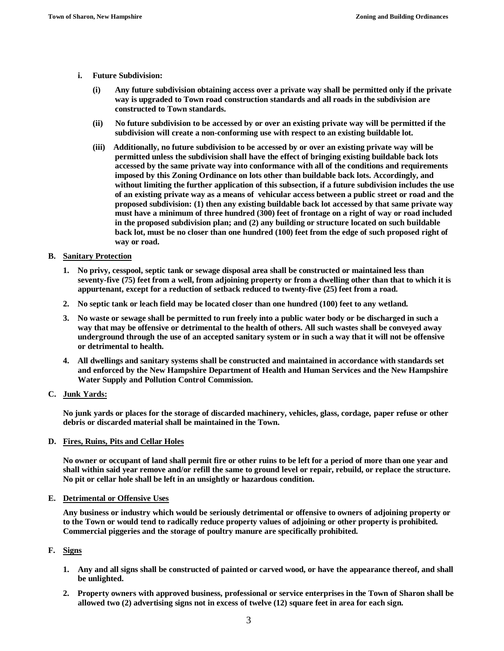- **i. Future Subdivision:**
	- **(i) Any future subdivision obtaining access over a private way shall be permitted only if the private way is upgraded to Town road construction standards and all roads in the subdivision are constructed to Town standards.**
	- **(ii) No future subdivision to be accessed by or over an existing private way will be permitted if the subdivision will create a non-conforming use with respect to an existing buildable lot.**
	- **(iii) Additionally, no future subdivision to be accessed by or over an existing private way will be permitted unless the subdivision shall have the effect of bringing existing buildable back lots accessed by the same private way into conformance with all of the conditions and requirements imposed by this Zoning Ordinance on lots other than buildable back lots. Accordingly, and without limiting the further application of this subsection, if a future subdivision includes the use of an existing private way as a means of vehicular access between a public street or road and the proposed subdivision: (1) then any existing buildable back lot accessed by that same private way must have a minimum of three hundred (300) feet of frontage on a right of way or road included in the proposed subdivision plan; and (2) any building or structure located on such buildable back lot, must be no closer than one hundred (100) feet from the edge of such proposed right of way or road.**

## **B. Sanitary Protection**

- **1. No privy, cesspool, septic tank or sewage disposal area shall be constructed or maintained less than seventy-five (75) feet from a well, from adjoining property or from a dwelling other than that to which it is appurtenant, except for a reduction of setback reduced to twenty-five (25) feet from a road.**
- **2. No septic tank or leach field may be located closer than one hundred (100) feet to any wetland.**
- **3. No waste or sewage shall be permitted to run freely into a public water body or be discharged in such a way that may be offensive or detrimental to the health of others. All such wastes shall be conveyed away underground through the use of an accepted sanitary system or in such a way that it will not be offensive or detrimental to health.**
- **4. All dwellings and sanitary systems shall be constructed and maintained in accordance with standards set and enforced by the New Hampshire Department of Health and Human Services and the New Hampshire Water Supply and Pollution Control Commission.**
- **C. Junk Yards:**

**No junk yards or places for the storage of discarded machinery, vehicles, glass, cordage, paper refuse or other debris or discarded material shall be maintained in the Town.**

#### **D. Fires, Ruins, Pits and Cellar Holes**

**No owner or occupant of land shall permit fire or other ruins to be left for a period of more than one year and shall within said year remove and/or refill the same to ground level or repair, rebuild, or replace the structure. No pit or cellar hole shall be left in an unsightly or hazardous condition.**

#### **E. Detrimental or Offensive Uses**

**Any business or industry which would be seriously detrimental or offensive to owners of adjoining property or to the Town or would tend to radically reduce property values of adjoining or other property is prohibited. Commercial piggeries and the storage of poultry manure are specifically prohibited.**

### **F. Signs**

- **1. Any and all signs shall be constructed of painted or carved wood, or have the appearance thereof, and shall be unlighted.**
- **2. Property owners with approved business, professional or service enterprises in the Town of Sharon shall be allowed two (2) advertising signs not in excess of twelve (12) square feet in area for each sign.**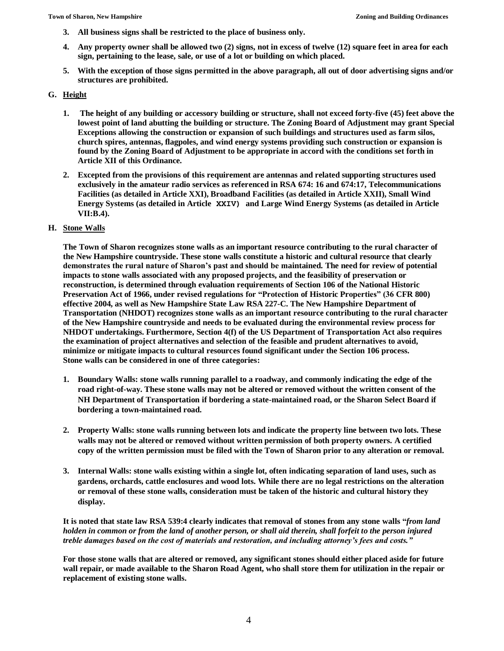- **3. All business signs shall be restricted to the place of business only.**
- **4. Any property owner shall be allowed two (2) signs, not in excess of twelve (12) square feet in area for each sign, pertaining to the lease, sale, or use of a lot or building on which placed.**
- **5. With the exception of those signs permitted in the above paragraph, all out of door advertising signs and/or structures are prohibited.**

## **G. Height**

- **1. The height of any building or accessory building or structure, shall not exceed forty-five (45) feet above the lowest point of land abutting the building or structure. The Zoning Board of Adjustment may grant Special Exceptions allowing the construction or expansion of such buildings and structures used as farm silos, church spires, antennas, flagpoles, and wind energy systems providing such construction or expansion is found by the Zoning Board of Adjustment to be appropriate in accord with the conditions set forth in Article XII of this Ordinance.**
- **2. Excepted from the provisions of this requirement are antennas and related supporting structures used exclusively in the amateur radio services as referenced in RSA 674: 16 and 674:17, Telecommunications Facilities (as detailed in Article XXI), Broadband Facilities (as detailed in Article XXII), Small Wind Energy Systems (as detailed in Article XXIV) and Large Wind Energy Systems (as detailed in Article VII:B.4).**

## **H. Stone Walls**

**The Town of Sharon recognizes stone walls as an important resource contributing to the rural character of the New Hampshire countryside. These stone walls constitute a historic and cultural resource that clearly demonstrates the rural nature of Sharon's past and should be maintained. The need for review of potential impacts to stone walls associated with any proposed projects, and the feasibility of preservation or reconstruction, is determined through evaluation requirements of Section 106 of the National Historic Preservation Act of 1966, under revised regulations for "Protection of Historic Properties" (36 CFR 800) effective 2004, as well as New Hampshire State Law RSA 227-C. The New Hampshire Department of Transportation (NHDOT) recognizes stone walls as an important resource contributing to the rural character of the New Hampshire countryside and needs to be evaluated during the environmental review process for NHDOT undertakings. Furthermore, Section 4(f) of the US Department of Transportation Act also requires the examination of project alternatives and selection of the feasible and prudent alternatives to avoid, minimize or mitigate impacts to cultural resources found significant under the Section 106 process. Stone walls can be considered in one of three categories:**

- **1. Boundary Walls: stone walls running parallel to a roadway, and commonly indicating the edge of the road right-of-way. These stone walls may not be altered or removed without the written consent of the NH Department of Transportation if bordering a state-maintained road, or the Sharon Select Board if bordering a town-maintained road.**
- **2. Property Walls: stone walls running between lots and indicate the property line between two lots. These walls may not be altered or removed without written permission of both property owners. A certified copy of the written permission must be filed with the Town of Sharon prior to any alteration or removal.**
- **3. Internal Walls: stone walls existing within a single lot, often indicating separation of land uses, such as gardens, orchards, cattle enclosures and wood lots. While there are no legal restrictions on the alteration or removal of these stone walls, consideration must be taken of the historic and cultural history they display.**

**It is noted that state law RSA 539:4 clearly indicates that removal of stones from any stone walls "***from land holden in common or from the land of another person, or shall aid therein, shall forfeit to the person injured treble damages based on the cost of materials and restoration, and including attorney's fees and costs."*

**For those stone walls that are altered or removed, any significant stones should either placed aside for future wall repair, or made available to the Sharon Road Agent, who shall store them for utilization in the repair or replacement of existing stone walls.**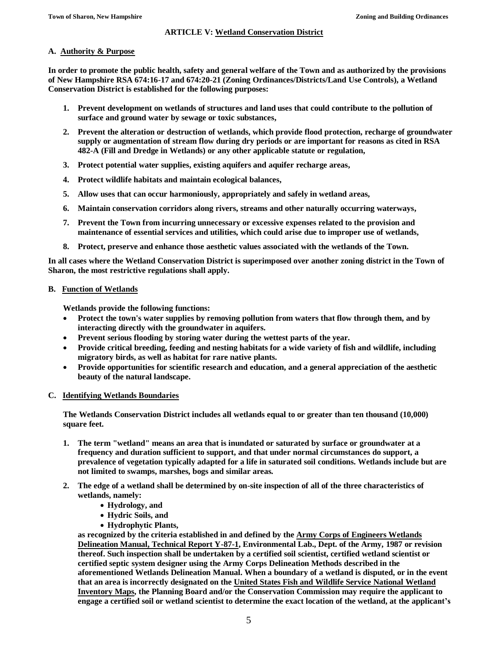## **ARTICLE V: Wetland Conservation District**

## **A. Authority & Purpose**

**In order to promote the public health, safety and general welfare of the Town and as authorized by the provisions of New Hampshire RSA 674:16-17 and 674:20-21 (Zoning Ordinances/Districts/Land Use Controls), a Wetland Conservation District is established for the following purposes:**

- **1. Prevent development on wetlands of structures and land uses that could contribute to the pollution of surface and ground water by sewage or toxic substances,**
- **2. Prevent the alteration or destruction of wetlands, which provide flood protection, recharge of groundwater supply or augmentation of stream flow during dry periods or are important for reasons as cited in RSA 482-A (Fill and Dredge in Wetlands) or any other applicable statute or regulation,**
- **3. Protect potential water supplies, existing aquifers and aquifer recharge areas,**
- **4. Protect wildlife habitats and maintain ecological balances,**
- **5. Allow uses that can occur harmoniously, appropriately and safely in wetland areas,**
- **6. Maintain conservation corridors along rivers, streams and other naturally occurring waterways,**
- **7. Prevent the Town from incurring unnecessary or excessive expenses related to the provision and maintenance of essential services and utilities, which could arise due to improper use of wetlands,**
- **8. Protect, preserve and enhance those aesthetic values associated with the wetlands of the Town.**

**In all cases where the Wetland Conservation District is superimposed over another zoning district in the Town of Sharon, the most restrictive regulations shall apply.**

## **B. Function of Wetlands**

**Wetlands provide the following functions:**

- **Protect the town's water supplies by removing pollution from waters that flow through them, and by interacting directly with the groundwater in aquifers.**
- **Prevent serious flooding by storing water during the wettest parts of the year.**
- **Provide critical breeding, feeding and nesting habitats for a wide variety of fish and wildlife, including migratory birds, as well as habitat for rare native plants.**
- **Provide opportunities for scientific research and education, and a general appreciation of the aesthetic beauty of the natural landscape.**

### **C. Identifying Wetlands Boundaries**

**The Wetlands Conservation District includes all wetlands equal to or greater than ten thousand (10,000) square feet.**

- **1. The term "wetland" means an area that is inundated or saturated by surface or groundwater at a frequency and duration sufficient to support, and that under normal circumstances do support, a prevalence of vegetation typically adapted for a life in saturated soil conditions. Wetlands include but are not limited to swamps, marshes, bogs and similar areas.**
- **2. The edge of a wetland shall be determined by on-site inspection of all of the three characteristics of wetlands, namely:**
	- **Hydrology, and**
	- **Hydric Soils, and**
	- **Hydrophytic Plants,**

**as recognized by the criteria established in and defined by the Army Corps of Engineers Wetlands Delineation Manual, Technical Report Y-87-1, Environmental Lab., Dept. of the Army, 1987 or revision thereof. Such inspection shall be undertaken by a certified soil scientist, certified wetland scientist or certified septic system designer using the Army Corps Delineation Methods described in the aforementioned Wetlands Delineation Manual. When a boundary of a wetland is disputed, or in the event that an area is incorrectly designated on the United States Fish and Wildlife Service National Wetland Inventory Maps, the Planning Board and/or the Conservation Commission may require the applicant to engage a certified soil or wetland scientist to determine the exact location of the wetland, at the applicant's**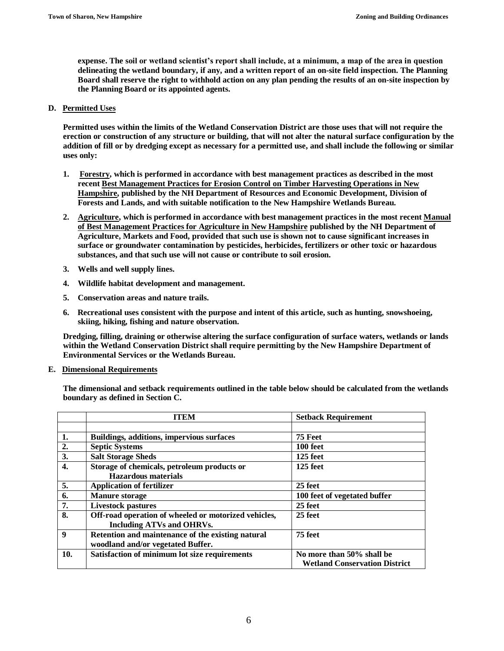**expense. The soil or wetland scientist's report shall include, at a minimum, a map of the area in question delineating the wetland boundary, if any, and a written report of an on-site field inspection. The Planning Board shall reserve the right to withhold action on any plan pending the results of an on-site inspection by the Planning Board or its appointed agents.**

### **D. Permitted Uses**

**Permitted uses within the limits of the Wetland Conservation District are those uses that will not require the erection or construction of any structure or building, that will not alter the natural surface configuration by the addition of fill or by dredging except as necessary for a permitted use, and shall include the following or similar uses only:**

- **1. Forestry, which is performed in accordance with best management practices as described in the most recent Best Management Practices for Erosion Control on Timber Harvesting Operations in New Hampshire, published by the NH Department of Resources and Economic Development, Division of Forests and Lands, and with suitable notification to the New Hampshire Wetlands Bureau.**
- **2. Agriculture, which is performed in accordance with best management practices in the most recent Manual of Best Management Practices for Agriculture in New Hampshire published by the NH Department of Agriculture, Markets and Food, provided that such use is shown not to cause significant increases in surface or groundwater contamination by pesticides, herbicides, fertilizers or other toxic or hazardous substances, and that such use will not cause or contribute to soil erosion.**
- **3. Wells and well supply lines.**
- **4. Wildlife habitat development and management.**
- **5. Conservation areas and nature trails.**
- **6. Recreational uses consistent with the purpose and intent of this article, such as hunting, snowshoeing, skiing, hiking, fishing and nature observation.**

**Dredging, filling, draining or otherwise altering the surface configuration of surface waters, wetlands or lands within the Wetland Conservation District shall require permitting by the New Hampshire Department of Environmental Services or the Wetlands Bureau.**

### **E. Dimensional Requirements**

**The dimensional and setback requirements outlined in the table below should be calculated from the wetlands boundary as defined in Section C.**

|                  | <b>ITEM</b>                                          | <b>Setback Requirement</b>           |
|------------------|------------------------------------------------------|--------------------------------------|
|                  |                                                      |                                      |
| 1.               | <b>Buildings, additions, impervious surfaces</b>     | 75 Feet                              |
| 2.               | <b>Septic Systems</b>                                | 100 feet                             |
| 3.               | <b>Salt Storage Sheds</b>                            | 125 feet                             |
| $\overline{4}$ . | Storage of chemicals, petroleum products or          | $125$ feet                           |
|                  | <b>Hazardous</b> materials                           |                                      |
| 5.               | <b>Application of fertilizer</b>                     | 25 feet                              |
| 6.               | <b>Manure storage</b>                                | 100 feet of vegetated buffer         |
| 7.               | <b>Livestock pastures</b>                            | 25 feet                              |
| 8.               | Off-road operation of wheeled or motorized vehicles, | 25 feet                              |
|                  | <b>Including ATVs and OHRVs.</b>                     |                                      |
| 9                | Retention and maintenance of the existing natural    | 75 feet                              |
|                  | woodland and/or vegetated Buffer.                    |                                      |
| 10.              | Satisfaction of minimum lot size requirements        | No more than 50% shall be            |
|                  |                                                      | <b>Wetland Conservation District</b> |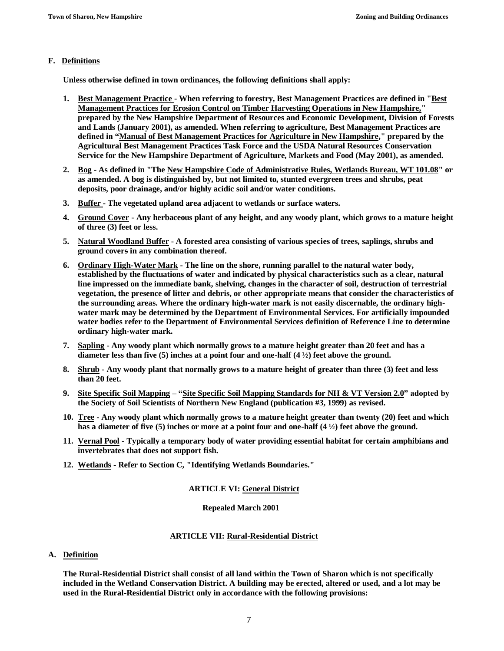## **F. Definitions**

**Unless otherwise defined in town ordinances, the following definitions shall apply:**

- **1. Best Management Practice - When referring to forestry, Best Management Practices are defined in "Best Management Practices for Erosion Control on Timber Harvesting Operations in New Hampshire," prepared by the New Hampshire Department of Resources and Economic Development, Division of Forests and Lands (January 2001), as amended. When referring to agriculture, Best Management Practices are defined in "Manual of Best Management Practices for Agriculture in New Hampshire," prepared by the Agricultural Best Management Practices Task Force and the USDA Natural Resources Conservation Service for the New Hampshire Department of Agriculture, Markets and Food (May 2001), as amended.**
- **2. Bog - As defined in "The New Hampshire Code of Administrative Rules, Wetlands Bureau, WT 101.08" or as amended. A bog is distinguished by, but not limited to, stunted evergreen trees and shrubs, peat deposits, poor drainage, and/or highly acidic soil and/or water conditions.**
- **3. Buffer - The vegetated upland area adjacent to wetlands or surface waters.**
- **4. Ground Cover - Any herbaceous plant of any height, and any woody plant, which grows to a mature height of three (3) feet or less.**
- **5. Natural Woodland Buffer - A forested area consisting of various species of trees, saplings, shrubs and ground covers in any combination thereof.**
- **6. Ordinary High-Water Mark - The line on the shore, running parallel to the natural water body, established by the fluctuations of water and indicated by physical characteristics such as a clear, natural line impressed on the immediate bank, shelving, changes in the character of soil, destruction of terrestrial vegetation, the presence of litter and debris, or other appropriate means that consider the characteristics of the surrounding areas. Where the ordinary high-water mark is not easily discernable, the ordinary highwater mark may be determined by the Department of Environmental Services. For artificially impounded water bodies refer to the Department of Environmental Services definition of Reference Line to determine ordinary high-water mark.**
- **7. Sapling - Any woody plant which normally grows to a mature height greater than 20 feet and has a diameter less than five (5) inches at a point four and one-half (4 ½) feet above the ground.**
- **8. Shrub - Any woody plant that normally grows to a mature height of greater than three (3) feet and less than 20 feet.**
- **9. Site Specific Soil Mapping – "Site Specific Soil Mapping Standards for NH & VT Version 2.0" adopted by the Society of Soil Scientists of Northern New England (publication #3, 1999) as revised.**
- **10. Tree - Any woody plant which normally grows to a mature height greater than twenty (20) feet and which has a diameter of five (5) inches or more at a point four and one-half (4 ½) feet above the ground.**
- **11. Vernal Pool - Typically a temporary body of water providing essential habitat for certain amphibians and invertebrates that does not support fish.**
- **12. Wetlands - Refer to Section C, "Identifying Wetlands Boundaries."**

## **ARTICLE VI: General District**

### **Repealed March 2001**

## **ARTICLE VII: Rural-Residential District**

### **A. Definition**

**The Rural-Residential District shall consist of all land within the Town of Sharon which is not specifically included in the Wetland Conservation District. A building may be erected, altered or used, and a lot may be used in the Rural-Residential District only in accordance with the following provisions:**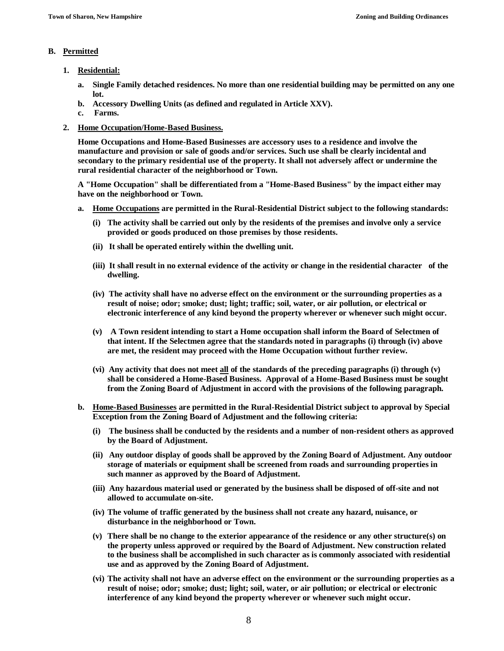## **B. Permitted**

- **1. Residential:**
	- **a. Single Family detached residences. No more than one residential building may be permitted on any one lot.**
	- **b. Accessory Dwelling Units (as defined and regulated in Article XXV).**
	- **c. Farms.**
- **2. Home Occupation/Home-Based Business.**

**Home Occupations and Home-Based Businesses are accessory uses to a residence and involve the manufacture and provision or sale of goods and/or services. Such use shall be clearly incidental and secondary to the primary residential use of the property. It shall not adversely affect or undermine the rural residential character of the neighborhood or Town.**

**A "Home Occupation" shall be differentiated from a "Home-Based Business" by the impact either may have on the neighborhood or Town.** 

- **a. Home Occupations are permitted in the Rural-Residential District subject to the following standards:**
	- **(i) The activity shall be carried out only by the residents of the premises and involve only a service provided or goods produced on those premises by those residents.**
	- **(ii) It shall be operated entirely within the dwelling unit.**
	- **(iii) It shall result in no external evidence of the activity or change in the residential character of the dwelling.**
	- **(iv) The activity shall have no adverse effect on the environment or the surrounding properties as a result of noise; odor; smoke; dust; light; traffic; soil, water, or air pollution, or electrical or electronic interference of any kind beyond the property wherever or whenever such might occur.**
	- **(v) A Town resident intending to start a Home occupation shall inform the Board of Selectmen of that intent. If the Selectmen agree that the standards noted in paragraphs (i) through (iv) above are met, the resident may proceed with the Home Occupation without further review.**
	- **(vi) Any activity that does not meet all of the standards of the preceding paragraphs (i) through (v) shall be considered a Home-Based Business. Approval of a Home-Based Business must be sought from the Zoning Board of Adjustment in accord with the provisions of the following paragraph.**
- **b. Home-Based Businesses are permitted in the Rural-Residential District subject to approval by Special Exception from the Zoning Board of Adjustment and the following criteria:**
	- **(i) The business shall be conducted by the residents and a number of non-resident others as approved by the Board of Adjustment.**
	- **(ii) Any outdoor display of goods shall be approved by the Zoning Board of Adjustment. Any outdoor storage of materials or equipment shall be screened from roads and surrounding properties in such manner as approved by the Board of Adjustment.**
	- **(iii) Any hazardous material used or generated by the business shall be disposed of off-site and not allowed to accumulate on-site.**
	- **(iv) The volume of traffic generated by the business shall not create any hazard, nuisance, or disturbance in the neighborhood or Town.**
	- **(v) There shall be no change to the exterior appearance of the residence or any other structure(s) on the property unless approved or required by the Board of Adjustment. New construction related to the business shall be accomplished in such character as is commonly associated with residential use and as approved by the Zoning Board of Adjustment.**
	- **(vi) The activity shall not have an adverse effect on the environment or the surrounding properties as a result of noise; odor; smoke; dust; light; soil, water, or air pollution; or electrical or electronic interference of any kind beyond the property wherever or whenever such might occur.**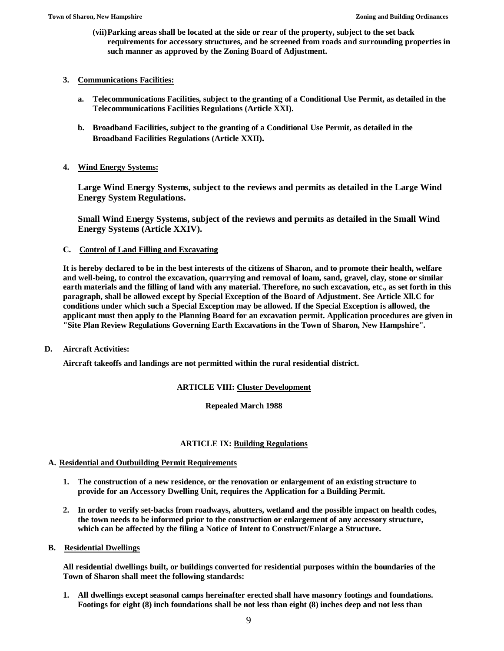**(vii)Parking areas shall be located at the side or rear of the property, subject to the set back requirements for accessory structures, and be screened from roads and surrounding properties in such manner as approved by the Zoning Board of Adjustment.**

## **3. Communications Facilities:**

- **a. Telecommunications Facilities, subject to the granting of a Conditional Use Permit, as detailed in the Telecommunications Facilities Regulations (Article XXI).**
- **b. Broadband Facilities, subject to the granting of a Conditional Use Permit, as detailed in the Broadband Facilities Regulations (Article XXII).**

## **4. Wind Energy Systems:**

**Large Wind Energy Systems, subject to the reviews and permits as detailed in the Large Wind Energy System Regulations.**

**Small Wind Energy Systems, subject of the reviews and permits as detailed in the Small Wind Energy Systems (Article XXIV).**

## **C. Control of Land Filling and Excavating**

**It is hereby declared to be in the best interests of the citizens of Sharon, and to promote their health, welfare and well-being, to control the excavation, quarrying and removal of loam, sand, gravel, clay, stone or similar earth materials and the filling of land with any material. Therefore, no such excavation, etc., as set forth in this paragraph, shall be allowed except by Special Exception of the Board of Adjustment. See Article Xll.C for conditions under which such a Special Exception may be allowed. If the Special Exception is allowed, the applicant must then apply to the Planning Board for an excavation permit. Application procedures are given in "Site Plan Review Regulations Governing Earth Excavations in the Town of Sharon, New Hampshire".**

## **D. Aircraft Activities:**

**Aircraft takeoffs and landings are not permitted within the rural residential district.**

## **ARTICLE VIII: Cluster Development**

**Repealed March 1988**

## **ARTICLE IX: Building Regulations**

## **A. Residential and Outbuilding Permit Requirements**

- **1. The construction of a new residence, or the renovation or enlargement of an existing structure to provide for an Accessory Dwelling Unit, requires the Application for a Building Permit.**
- **2. In order to verify set-backs from roadways, abutters, wetland and the possible impact on health codes, the town needs to be informed prior to the construction or enlargement of any accessory structure, which can be affected by the filing a Notice of Intent to Construct/Enlarge a Structure.**
- **B. Residential Dwellings**

**All residential dwellings built, or buildings converted for residential purposes within the boundaries of the Town of Sharon shall meet the following standards:**

**1. All dwellings except seasonal camps hereinafter erected shall have masonry footings and foundations. Footings for eight (8) inch foundations shall be not less than eight (8) inches deep and not less than**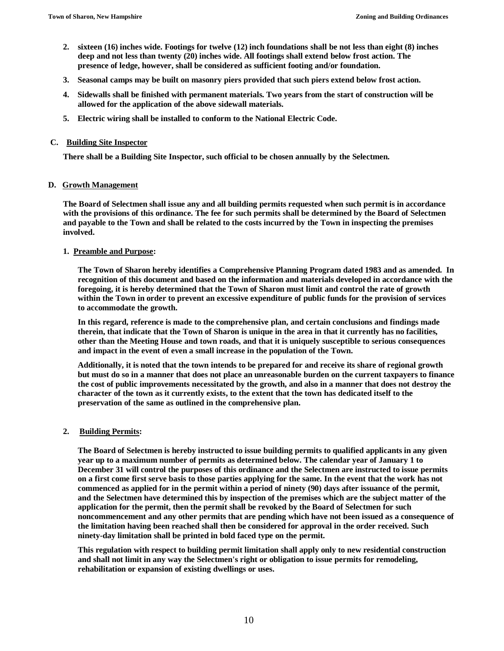- **2. sixteen (16) inches wide. Footings for twelve (12) inch foundations shall be not less than eight (8) inches deep and not less than twenty (20) inches wide. All footings shall extend below frost action. The presence of ledge, however, shall be considered as sufficient footing and/or foundation.**
- **3. Seasonal camps may be built on masonry piers provided that such piers extend below frost action.**
- **4. Sidewalls shall be finished with permanent materials. Two years from the start of construction will be allowed for the application of the above sidewall materials.**
- **5. Electric wiring shall be installed to conform to the National Electric Code.**

#### **C. Building Site Inspector**

**There shall be a Building Site Inspector, such official to be chosen annually by the Selectmen.**

#### **D. Growth Management**

**The Board of Selectmen shall issue any and all building permits requested when such permit is in accordance with the provisions of this ordinance. The fee for such permits shall be determined by the Board of Selectmen and payable to the Town and shall be related to the costs incurred by the Town in inspecting the premises involved.**

#### **1. Preamble and Purpose:**

**The Town of Sharon hereby identifies a Comprehensive Planning Program dated 1983 and as amended. In recognition of this document and based on the information and materials developed in accordance with the foregoing, it is hereby determined that the Town of Sharon must limit and control the rate of growth within the Town in order to prevent an excessive expenditure of public funds for the provision of services to accommodate the growth.** 

**In this regard, reference is made to the comprehensive plan, and certain conclusions and findings made therein, that indicate that the Town of Sharon is unique in the area in that it currently has no facilities, other than the Meeting House and town roads, and that it is uniquely susceptible to serious consequences and impact in the event of even a small increase in the population of the Town.**

**Additionally, it is noted that the town intends to be prepared for and receive its share of regional growth but must do so in a manner that does not place an unreasonable burden on the current taxpayers to finance the cost of public improvements necessitated by the growth, and also in a manner that does not destroy the character of the town as it currently exists, to the extent that the town has dedicated itself to the preservation of the same as outlined in the comprehensive plan.**

### **2. Building Permits:**

**The Board of Selectmen is hereby instructed to issue building permits to qualified applicants in any given year up to a maximum number of permits as determined below. The calendar year of January 1 to December 31 will control the purposes of this ordinance and the Selectmen are instructed to issue permits on a first come first serve basis to those parties applying for the same. In the event that the work has not commenced as applied for in the permit within a period of ninety (90) days after issuance of the permit, and the Selectmen have determined this by inspection of the premises which are the subject matter of the application for the permit, then the permit shall be revoked by the Board of Selectmen for such noncommencement and any other permits that are pending which have not been issued as a consequence of the limitation having been reached shall then be considered for approval in the order received. Such ninety-day limitation shall be printed in bold faced type on the permit.** 

**This regulation with respect to building permit limitation shall apply only to new residential construction and shall not limit in any way the Selectmen's right or obligation to issue permits for remodeling, rehabilitation or expansion of existing dwellings or uses.**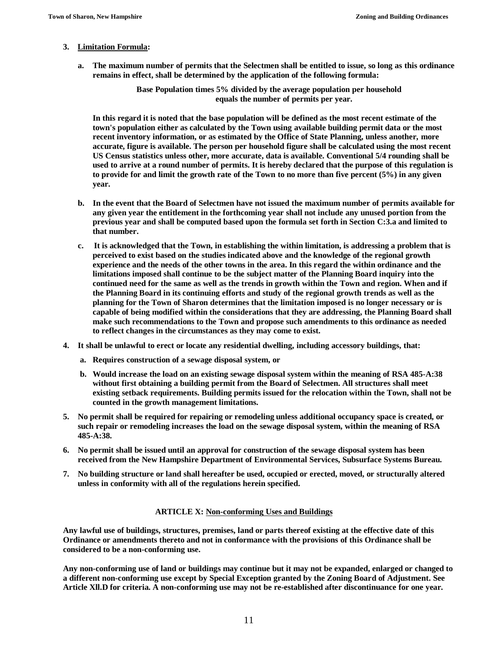### **3. Limitation Formula:**

**a. The maximum number of permits that the Selectmen shall be entitled to issue, so long as this ordinance remains in effect, shall be determined by the application of the following formula:**

> **Base Population times 5% divided by the average population per household equals the number of permits per year.**

**In this regard it is noted that the base population will be defined as the most recent estimate of the town's population either as calculated by the Town using available building permit data or the most recent inventory information, or as estimated by the Office of State Planning, unless another, more accurate, figure is available. The person per household figure shall be calculated using the most recent US Census statistics unless other, more accurate, data is available. Conventional 5/4 rounding shall be used to arrive at a round number of permits. It is hereby declared that the purpose of this regulation is to provide for and limit the growth rate of the Town to no more than five percent (5%) in any given year.**

- **b. In the event that the Board of Selectmen have not issued the maximum number of permits available for any given year the entitlement in the forthcoming year shall not include any unused portion from the previous year and shall be computed based upon the formula set forth in Section C:3.a and limited to that number.**
- **c. It is acknowledged that the Town, in establishing the within limitation, is addressing a problem that is perceived to exist based on the studies indicated above and the knowledge of the regional growth experience and the needs of the other towns in the area. In this regard the within ordinance and the limitations imposed shall continue to be the subject matter of the Planning Board inquiry into the continued need for the same as well as the trends in growth within the Town and region. When and if the Planning Board in its continuing efforts and study of the regional growth trends as well as the planning for the Town of Sharon determines that the limitation imposed is no longer necessary or is capable of being modified within the considerations that they are addressing, the Planning Board shall make such recommendations to the Town and propose such amendments to this ordinance as needed to reflect changes in the circumstances as they may come to exist.**
- **4. It shall be unlawful to erect or locate any residential dwelling, including accessory buildings, that:**
	- **a. Requires construction of a sewage disposal system, or**
	- **b. Would increase the load on an existing sewage disposal system within the meaning of RSA 485-A:38 without first obtaining a building permit from the Board of Selectmen. All structures shall meet existing setback requirements. Building permits issued for the relocation within the Town, shall not be counted in the growth management limitations.**
- **5. No permit shall be required for repairing or remodeling unless additional occupancy space is created, or such repair or remodeling increases the load on the sewage disposal system, within the meaning of RSA 485-A:38.**
- **6. No permit shall be issued until an approval for construction of the sewage disposal system has been received from the New Hampshire Department of Environmental Services, Subsurface Systems Bureau.**
- **7. No building structure or land shall hereafter be used, occupied or erected, moved, or structurally altered unless in conformity with all of the regulations herein specified.**

### **ARTICLE X: Non-conforming Uses and Buildings**

**Any lawful use of buildings, structures, premises, land or parts thereof existing at the effective date of this Ordinance or amendments thereto and not in conformance with the provisions of this Ordinance shall be considered to be a non-conforming use.** 

**Any non-conforming use of land or buildings may continue but it may not be expanded, enlarged or changed to a different non-conforming use except by Special Exception granted by the Zoning Board of Adjustment. See Article Xll.D for criteria. A non-conforming use may not be re-established after discontinuance for one year.**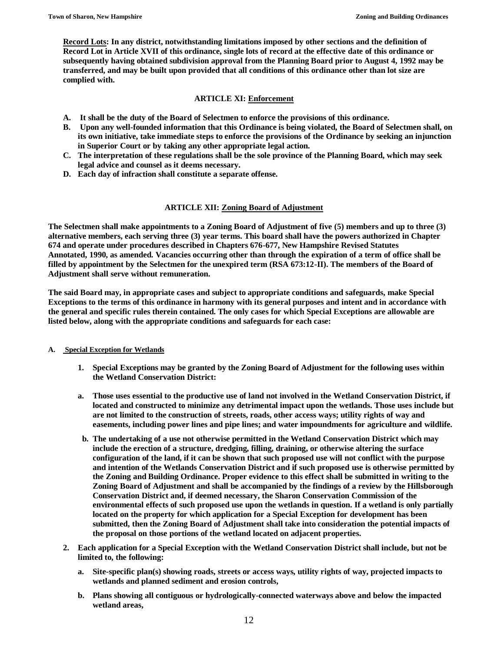**Record Lots: In any district, notwithstanding limitations imposed by other sections and the definition of Record Lot in Article XVII of this ordinance, single lots of record at the effective date of this ordinance or subsequently having obtained subdivision approval from the Planning Board prior to August 4, 1992 may be transferred, and may be built upon provided that all conditions of this ordinance other than lot size are complied with.**

## **ARTICLE XI: Enforcement**

- **A. It shall be the duty of the Board of Selectmen to enforce the provisions of this ordinance.**
- **B. Upon any well-founded information that this Ordinance is being violated, the Board of Selectmen shall, on its own initiative, take immediate steps to enforce the provisions of the Ordinance by seeking an injunction in Superior Court or by taking any other appropriate legal action.**
- **C. The interpretation of these regulations shall be the sole province of the Planning Board, which may seek legal advice and counsel as it deems necessary.**
- **D. Each day of infraction shall constitute a separate offense.**

## **ARTICLE XII: Zoning Board of Adjustment**

**The Selectmen shall make appointments to a Zoning Board of Adjustment of five (5) members and up to three (3) alternative members, each serving three (3) year terms. This board shall have the powers authorized in Chapter 674 and operate under procedures described in Chapters 676-677, New Hampshire Revised Statutes Annotated, 1990, as amended. Vacancies occurring other than through the expiration of a term of office shall be filled by appointment by the Selectmen for the unexpired term (RSA 673:12-II). The members of the Board of Adjustment shall serve without remuneration.**

**The said Board may, in appropriate cases and subject to appropriate conditions and safeguards, make Special Exceptions to the terms of this ordinance in harmony with its general purposes and intent and in accordance with the general and specific rules therein contained. The only cases for which Special Exceptions are allowable are listed below, along with the appropriate conditions and safeguards for each case:**

### **A. Special Exception for Wetlands**

- **1. Special Exceptions may be granted by the Zoning Board of Adjustment for the following uses within the Wetland Conservation District:**
- **a. Those uses essential to the productive use of land not involved in the Wetland Conservation District, if located and constructed to minimize any detrimental impact upon the wetlands. Those uses include but are not limited to the construction of streets, roads, other access ways; utility rights of way and easements, including power lines and pipe lines; and water impoundments for agriculture and wildlife.**
- **b. The undertaking of a use not otherwise permitted in the Wetland Conservation District which may include the erection of a structure, dredging, filling, draining, or otherwise altering the surface configuration of the land, if it can be shown that such proposed use will not conflict with the purpose and intention of the Wetlands Conservation District and if such proposed use is otherwise permitted by the Zoning and Building Ordinance. Proper evidence to this effect shall be submitted in writing to the Zoning Board of Adjustment and shall be accompanied by the findings of a review by the Hillsborough Conservation District and, if deemed necessary, the Sharon Conservation Commission of the environmental effects of such proposed use upon the wetlands in question. If a wetland is only partially located on the property for which application for a Special Exception for development has been submitted, then the Zoning Board of Adjustment shall take into consideration the potential impacts of the proposal on those portions of the wetland located on adjacent properties.**
- **2. Each application for a Special Exception with the Wetland Conservation District shall include, but not be limited to, the following:**
	- **a. Site-specific plan(s) showing roads, streets or access ways, utility rights of way, projected impacts to wetlands and planned sediment and erosion controls,**
	- **b. Plans showing all contiguous or hydrologically-connected waterways above and below the impacted wetland areas,**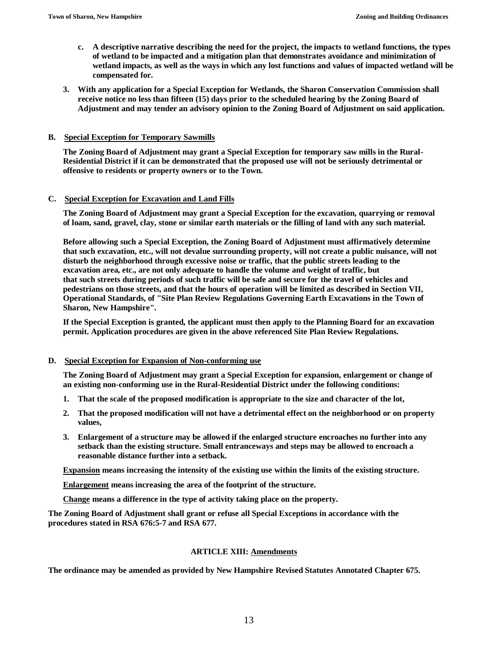- **c. A descriptive narrative describing the need for the project, the impacts to wetland functions, the types of wetland to be impacted and a mitigation plan that demonstrates avoidance and minimization of wetland impacts, as well as the ways in which any lost functions and values of impacted wetland will be compensated for.**
- **3. With any application for a Special Exception for Wetlands, the Sharon Conservation Commission shall receive notice no less than fifteen (15) days prior to the scheduled hearing by the Zoning Board of Adjustment and may tender an advisory opinion to the Zoning Board of Adjustment on said application.**

### **B. Special Exception for Temporary Sawmills**

**The Zoning Board of Adjustment may grant a Special Exception for temporary saw mills in the Rural-Residential District if it can be demonstrated that the proposed use will not be seriously detrimental or offensive to residents or property owners or to the Town.**

### **C. Special Exception for Excavation and Land Fills**

**The Zoning Board of Adjustment may grant a Special Exception for the excavation, quarrying or removal of loam, sand, gravel, clay, stone or similar earth materials or the filling of land with any such material.**

**Before allowing such a Special Exception, the Zoning Board of Adjustment must affirmatively determine that such excavation, etc., will not devalue surrounding property, will not create a public nuisance, will not disturb the neighborhood through excessive noise or traffic, that the public streets leading to the excavation area, etc., are not only adequate to handle the volume and weight of traffic, but that such streets during periods of such traffic will be safe and secure for the travel of vehicles and pedestrians on those streets, and that the hours of operation will be limited as described in Section VII, Operational Standards, of "Site Plan Review Regulations Governing Earth Excavations in the Town of Sharon, New Hampshire".**

**If the Special Exception is granted, the applicant must then apply to the Planning Board for an excavation permit. Application procedures are given in the above referenced Site Plan Review Regulations.**

### **D. Special Exception for Expansion of Non-conforming use**

**The Zoning Board of Adjustment may grant a Special Exception for expansion, enlargement or change of an existing non-conforming use in the Rural-Residential District under the following conditions:**

- **1. That the scale of the proposed modification is appropriate to the size and character of the lot,**
- **2. That the proposed modification will not have a detrimental effect on the neighborhood or on property values,**
- **3. Enlargement of a structure may be allowed if the enlarged structure encroaches no further into any setback than the existing structure. Small entranceways and steps may be allowed to encroach a reasonable distance further into a setback.**

**Expansion means increasing the intensity of the existing use within the limits of the existing structure.**

**Enlargement means increasing the area of the footprint of the structure.**

**Change means a difference in the type of activity taking place on the property.**

**The Zoning Board of Adjustment shall grant or refuse all Special Exceptions in accordance with the procedures stated in RSA 676:5-7 and RSA 677.**

## **ARTICLE XIII: Amendments**

**The ordinance may be amended as provided by New Hampshire Revised Statutes Annotated Chapter 675.**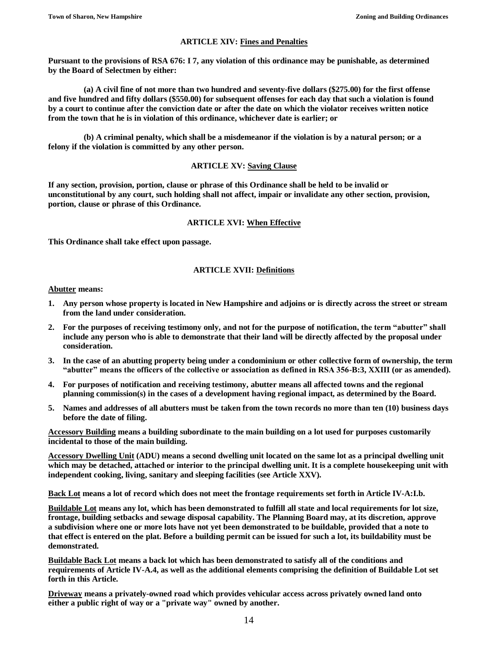## **ARTICLE XIV: Fines and Penalties**

**Pursuant to the provisions of RSA 676: I 7, any violation of this ordinance may be punishable, as determined by the Board of Selectmen by either:** 

**(a) A civil fine of not more than two hundred and seventy-five dollars (\$275.00) for the first offense and five hundred and fifty dollars (\$550.00) for subsequent offenses for each day that such a violation is found by a court to continue after the conviction date or after the date on which the violator receives written notice from the town that he is in violation of this ordinance, whichever date is earlier; or** 

**(b) A criminal penalty, which shall be a misdemeanor if the violation is by a natural person; or a felony if the violation is committed by any other person.**

#### **ARTICLE XV: Saving Clause**

**If any section, provision, portion, clause or phrase of this Ordinance shall be held to be invalid or unconstitutional by any court, such holding shall not affect, impair or invalidate any other section, provision, portion, clause or phrase of this Ordinance.**

#### **ARTICLE XVI: When Effective**

**This Ordinance shall take effect upon passage.**

### **ARTICLE XVII: Definitions**

**Abutter means:**

- **1. Any person whose property is located in New Hampshire and adjoins or is directly across the street or stream from the land under consideration.**
- **2. For the purposes of receiving testimony only, and not for the purpose of notification, the term "abutter" shall include any person who is able to demonstrate that their land will be directly affected by the proposal under consideration.**
- **3. In the case of an abutting property being under a condominium or other collective form of ownership, the term "abutter" means the officers of the collective or association as defined in RSA 356-B:3, XXIII (or as amended).**
- **4. For purposes of notification and receiving testimony, abutter means all affected towns and the regional planning commission(s) in the cases of a development having regional impact, as determined by the Board.**
- **5. Names and addresses of all abutters must be taken from the town records no more than ten (10) business days before the date of filing.**

**Accessory Building means a building subordinate to the main building on a lot used for purposes customarily incidental to those of the main building.**

**Accessory Dwelling Unit (ADU) means a second dwelling unit located on the same lot as a principal dwelling unit which may be detached, attached or interior to the principal dwelling unit. It is a complete housekeeping unit with independent cooking, living, sanitary and sleeping facilities (see Article XXV).**

**Back Lot means a lot of record which does not meet the frontage requirements set forth in Article IV-A:I.b.**

**Buildable Lot means any lot, which has been demonstrated to fulfill all state and local requirements for lot size, frontage, building setbacks and sewage disposal capability. The Planning Board may, at its discretion, approve a subdivision where one or more lots have not yet been demonstrated to be buildable, provided that a note to that effect is entered on the plat. Before a building permit can be issued for such a lot, its buildability must be demonstrated.**

**Buildable Back Lot means a back lot which has been demonstrated to satisfy all of the conditions and requirements of Article IV-A.4, as well as the additional elements comprising the definition of Buildable Lot set forth in this Article.** 

**Driveway means a privately-owned road which provides vehicular access across privately owned land onto either a public right of way or a "private way" owned by another.**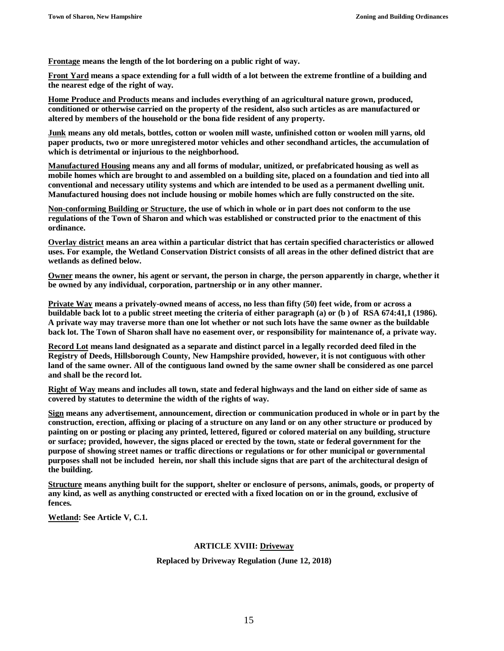**Frontage means the length of the lot bordering on a public right of way.**

**Front Yard means a space extending for a full width of a lot between the extreme frontline of a building and the nearest edge of the right of way.**

**Home Produce and Products means and includes everything of an agricultural nature grown, produced, conditioned or otherwise carried on the property of the resident, also such articles as are manufactured or altered by members of the household or the bona fide resident of any property.**

**Junk means any old metals, bottles, cotton or woolen mill waste, unfinished cotton or woolen mill yarns, old paper products, two or more unregistered motor vehicles and other secondhand articles, the accumulation of which is detrimental or injurious to the neighborhood.**

**Manufactured Housing means any and all forms of modular, unitized, or prefabricated housing as well as mobile homes which are brought to and assembled on a building site, placed on a foundation and tied into all conventional and necessary utility systems and which are intended to be used as a permanent dwelling unit. Manufactured housing does not include housing or mobile homes which are fully constructed on the site.**

**Non-conforming Building or Structure, the use of which in whole or in part does not conform to the use regulations of the Town of Sharon and which was established or constructed prior to the enactment of this ordinance.**

**Overlay district means an area within a particular district that has certain specified characteristics or allowed uses. For example, the Wetland Conservation District consists of all areas in the other defined district that are wetlands as defined below.**

**Owner means the owner, his agent or servant, the person in charge, the person apparently in charge, whether it be owned by any individual, corporation, partnership or in any other manner.**

**Private Way means a privately-owned means of access, no less than fifty (50) feet wide, from or across a buildable back lot to a public street meeting the criteria of either paragraph (a) or (b ) of RSA 674:41,1 (1986). A private way may traverse more than one lot whether or not such lots have the same owner as the buildable back lot. The Town of Sharon shall have no easement over, or responsibility for maintenance of, a private way.**

**Record Lot means land designated as a separate and distinct parcel in a legally recorded deed filed in the Registry of Deeds, Hillsborough County, New Hampshire provided, however, it is not contiguous with other land of the same owner. All of the contiguous land owned by the same owner shall be considered as one parcel and shall be the record lot.**

**Right of Way means and includes all town, state and federal highways and the land on either side of same as covered by statutes to determine the width of the rights of way.**

**Sign means any advertisement, announcement, direction or communication produced in whole or in part by the construction, erection, affixing or placing of a structure on any land or on any other structure or produced by painting on or posting or placing any printed, lettered, figured or colored material on any building, structure or surface; provided, however, the signs placed or erected by the town, state or federal government for the purpose of showing street names or traffic directions or regulations or for other municipal or governmental purposes shall not be included herein, nor shall this include signs that are part of the architectural design of the building.** 

**Structure means anything built for the support, shelter or enclosure of persons, animals, goods, or property of any kind, as well as anything constructed or erected with a fixed location on or in the ground, exclusive of fences.**

**Wetland: See Article V, C.1.**

### **ARTICLE XVIII: Driveway**

#### **Replaced by Driveway Regulation (June 12, 2018)**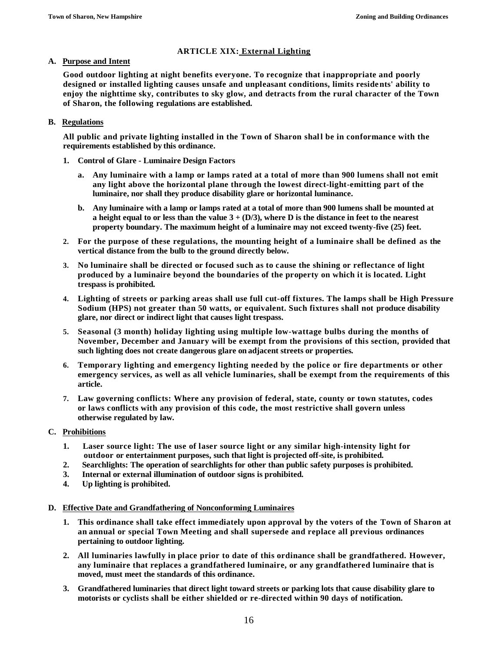## **ARTICLE XIX: External Lighting**

## **A. Purpose and Intent**

**Good outdoor lighting at night benefits everyone. To recognize that inappropriate and poorly designed or installed lighting causes unsafe and unpleasant conditions, limits residents' ability to enjoy the nighttime sky, contributes to sky glow, and detracts from the rural character of the Town of Sharon, the following regulations are established.**

## **B. Regulations**

**All public and private lighting installed in the Town of Sharon shall be in conformance with the requirements established by this ordinance.**

- **1. Control of Glare - Luminaire Design Factors**
	- **a. Any luminaire with a lamp or lamps rated at a total of more than 900 lumens shall not emit any light above the horizontal plane through the lowest direct-light-emitting part of the luminaire, nor shall they produce disability glare or horizontal luminance.**
	- **b. Any luminaire with a lamp or lamps rated at a total of more than 900 lumens shall be mounted at a height equal to or less than the value 3 + (D/3), where D is the distance in feet to the nearest property boundary. The maximum height of a luminaire may not exceed twenty-five (25) feet.**
- **2. For the purpose of these regulations, the mounting height of a luminaire shall be defined as the vertical distance from the bulb to the ground directly below.**
- **3. No luminaire shall be directed or focused such as to cause the shining or reflectance of light produced by a luminaire beyond the boundaries of the property on which it is located. Light trespass is prohibited.**
- **4. Lighting of streets or parking areas shall use full cut-off fixtures. The lamps shall be High Pressure Sodium (HPS) not greater than 50 watts, or equivalent. Such fixtures shall not produce disability glare, nor direct or indirect light that causes light trespass.**
- **5. Seasonal (3 month) holiday lighting using multiple low-wattage bulbs during the months of November, December and January will be exempt from the provisions of this section, provided that such lighting does not create dangerous glare on adjacent streets or properties.**
- **6. Temporary lighting and emergency lighting needed by the police or fire departments or other emergency services, as well as all vehicle luminaries, shall be exempt from the requirements of this article.**
- **7. Law governing conflicts: Where any provision of federal, state, county or town statutes, codes or laws conflicts with any provision of this code, the most restrictive shall govern unless otherwise regulated by law.**
- **C. Prohibitions**
	- **1. Laser source light: The use of laser source light or any similar high-intensity light for outdoor or entertainment purposes, such that light is projected off-site, is prohibited.**
	- **2. Searchlights: The operation of searchlights for other than public safety purposes is prohibited.**
	- **3. Internal or external illumination of outdoor signs is prohibited.**
	- **4. Up lighting is prohibited.**

### **D. Effective Date and Grandfathering of Nonconforming Luminaires**

- **1. This ordinance shall take effect immediately upon approval by the voters of the Town of Sharon at an annual or special Town Meeting and shall supersede and replace all previous ordinances pertaining to outdoor lighting.**
- **2. All luminaries lawfully in place prior to date of this ordinance shall be grandfathered. However, any luminaire that replaces a grandfathered luminaire, or any grandfathered luminaire that is moved, must meet the standards of this ordinance.**
- **3. Grandfathered luminaries that direct light toward streets or parking lots that cause disability glare to motorists or cyclists shall be either shielded or re-directed within 90 days of notification.**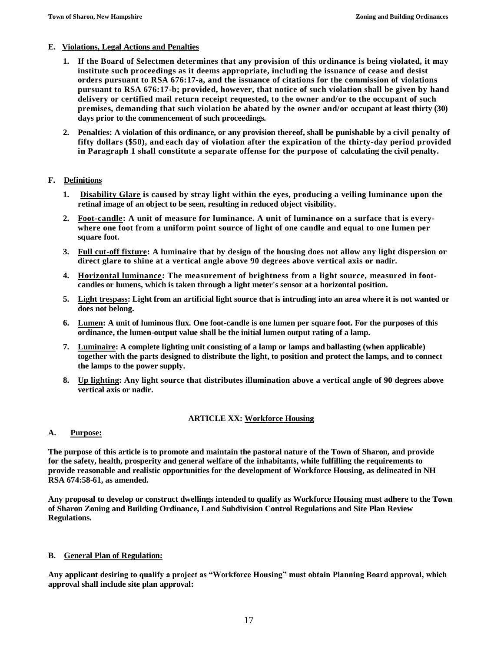## **E. Violations, Legal Actions and Penalties**

- **1. If the Board of Selectmen determines that any provision of this ordinance is being violated, it may institute such proceedings as it deems appropriate, including the issuance of cease and desist orders pursuant to RSA 676:17-a, and the issuance of citations for the commission of violations pursuant to RSA 676:17-b; provided, however, that notice of such violation shall be given by hand delivery or certified mail return receipt requested, to the owner and/or to the occupant of such premises, demanding that such violation be abated by the owner and/or occupant at least thirty (30) days prior to the commencement of such proceedings.**
- **2. Penalties: A violation of this ordinance, or any provision thereof, shall be punishable by a civil penalty of fifty dollars (\$50), and each day of violation after the expiration of the thirty-day period provided in Paragraph 1 shall constitute a separate offense for the purpose of calculating the civil penalty.**

## **F. Definitions**

- **1. Disability Glare is caused by stray light within the eyes, producing a veiling luminance upon the retinal image of an object to be seen, resulting in reduced object visibility.**
- **2. Foot-candle: A unit of measure for luminance. A unit of luminance on a surface that is everywhere one foot from a uniform point source of light of one candle and equal to one lumen per square foot.**
- **3. Full cut-off fixture: A luminaire that by design of the housing does not allow any light dispersion or direct glare to shine at a vertical angle above 90 degrees above vertical axis or nadir.**
- **4. Horizontal luminance: The measurement of brightness from a light source, measured in footcandles or lumens, which is taken through a light meter's sensor at a horizontal position.**
- **5. Light trespass: Light from an artificial light source that is intruding into an area where it is not wanted or does not belong.**
- **6. Lumen: A unit of luminous flux. One foot-candle is one lumen per square foot. For the purposes of this ordinance, the lumen-output value shall be the initial lumen output rating of a lamp.**
- **7. Luminaire: A complete lighting unit consisting of a lamp or lamps and ballasting (when applicable) together with the parts designed to distribute the light, to position and protect the lamps, and to connect the lamps to the power supply.**
- **8. Up lighting: Any light source that distributes illumination above a vertical angle of 90 degrees above vertical axis or nadir.**

## **ARTICLE XX: Workforce Housing**

## **A. Purpose:**

**The purpose of this article is to promote and maintain the pastoral nature of the Town of Sharon, and provide for the safety, health, prosperity and general welfare of the inhabitants, while fulfilling the requirements to provide reasonable and realistic opportunities for the development of Workforce Housing, as delineated in NH RSA 674:58-61, as amended.**

**Any proposal to develop or construct dwellings intended to qualify as Workforce Housing must adhere to the Town of Sharon Zoning and Building Ordinance, Land Subdivision Control Regulations and Site Plan Review Regulations.**

## **B. General Plan of Regulation:**

**Any applicant desiring to qualify a project as "Workforce Housing" must obtain Planning Board approval, which approval shall include site plan approval:**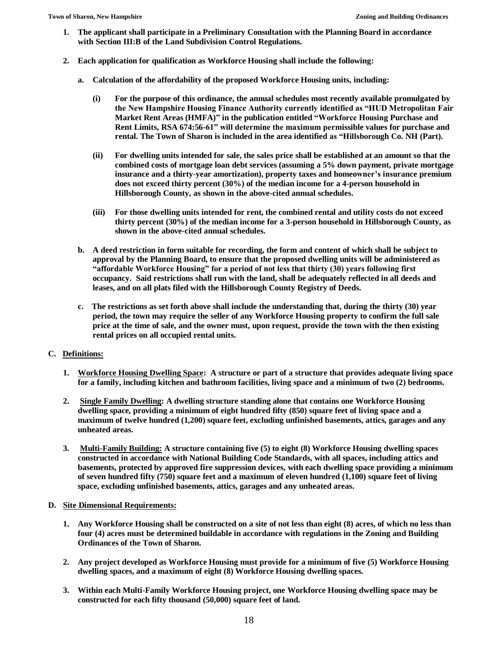- **1. The applicant shall participate in a Preliminary Consultation with the Planning Board in accordance with Section III:B of the Land Subdivision Control Regulations.**
- **2. Each application for qualification as Workforce Housing shall include the following:**
	- **a. Calculation of the affordability of the proposed Workforce Housing units, including:**
		- **(i) For the purpose of this ordinance, the annual schedules most recently available promulgated by the New Hampshire Housing Finance Authority currently identified as "HUD Metropolitan Fair Market Rent Areas (HMFA)" in the publication entitled "Workforce Housing Purchase and Rent Limits, RSA 674:56-61" will determine the maximum permissible values for purchase and rental. The Town of Sharon is included in the area identified as "Hillsborough Co. NH (Part).**
		- **(ii) For dwelling units intended for sale, the sales price shall be established at an amount so that the combined costs of mortgage loan debt services (assuming a 5% down payment, private mortgage insurance and a thirty-year amortization), property taxes and homeowner's insurance premium does not exceed thirty percent (30%) of the median income for a 4-person household in Hillsborough County, as shown in the above-cited annual schedules.**
		- **(iii) For those dwelling units intended for rent, the combined rental and utility costs do not exceed thirty percent (30%) of the median income for a 3-person household in Hillsborough County, as shown in the above-cited annual schedules.**
	- **b. A deed restriction in form suitable for recording, the form and content of which shall be subject to approval by the Planning Board, to ensure that the proposed dwelling units will be administered as "affordable Workforce Housing" for a period of not less that thirty (30) years following first occupancy. Said restrictions shall run with the land, shall be adequately reflected in all deeds and leases, and on all plats filed with the Hillsborough County Registry of Deeds.**
	- **c. The restrictions as set forth above shall include the understanding that, during the thirty (30) year period, the town may require the seller of any Workforce Housing property to confirm the full sale price at the time of sale, and the owner must, upon request, provide the town with the then existing rental prices on all occupied rental units.**

## **C. Definitions:**

- **1. Workforce Housing Dwelling Space: A structure or part of a structure that provides adequate living space for a family, including kitchen and bathroom facilities, living space and a minimum of two (2) bedrooms.**
- **2. Single Family Dwelling: A dwelling structure standing alone that contains one Workforce Housing dwelling space, providing a minimum of eight hundred fifty (850) square feet of living space and a maximum of twelve hundred (1,200) square feet, excluding unfinished basements, attics, garages and any unheated areas.**
- **3. Multi-Family Building: A structure containing five (5) to eight (8) Workforce Housing dwelling spaces constructed in accordance with National Building Code Standards, with all spaces, including attics and basements, protected by approved fire suppression devices, with each dwelling space providing a minimum of seven hundred fifty (750) square feet and a maximum of eleven hundred (1,100) square feet of living space, excluding unfinished basements, attics, garages and any unheated areas.**

### **D. Site Dimensional Requirements:**

- **1. Any Workforce Housing shall be constructed on a site of not less than eight (8) acres, of which no less than four (4) acres must be determined buildable in accordance with regulations in the Zoning and Building Ordinances of the Town of Sharon.**
- **2. Any project developed as Workforce Housing must provide for a minimum of five (5) Workforce Housing dwelling spaces, and a maximum of eight (8) Workforce Housing dwelling spaces.**
- **3. Within each Multi-Family Workforce Housing project, one Workforce Housing dwelling space may be constructed for each fifty thousand (50,000) square feet of land.**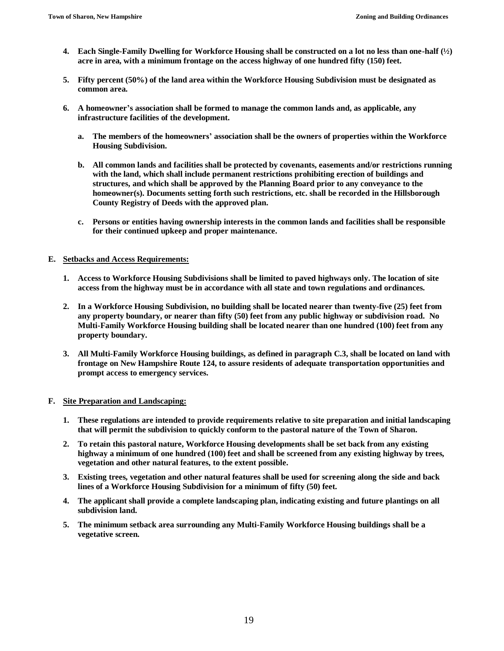- **4. Each Single-Family Dwelling for Workforce Housing shall be constructed on a lot no less than one-half (½) acre in area, with a minimum frontage on the access highway of one hundred fifty (150) feet.**
- **5. Fifty percent (50%) of the land area within the Workforce Housing Subdivision must be designated as common area.**
- **6. A homeowner's association shall be formed to manage the common lands and, as applicable, any infrastructure facilities of the development.**
	- **a. The members of the homeowners' association shall be the owners of properties within the Workforce Housing Subdivision.**
	- **b. All common lands and facilities shall be protected by covenants, easements and/or restrictions running with the land, which shall include permanent restrictions prohibiting erection of buildings and structures, and which shall be approved by the Planning Board prior to any conveyance to the homeowner(s). Documents setting forth such restrictions, etc. shall be recorded in the Hillsborough County Registry of Deeds with the approved plan.**
	- **c. Persons or entities having ownership interests in the common lands and facilities shall be responsible for their continued upkeep and proper maintenance.**

## **E. Setbacks and Access Requirements:**

- **1. Access to Workforce Housing Subdivisions shall be limited to paved highways only. The location of site access from the highway must be in accordance with all state and town regulations and ordinances.**
- **2. In a Workforce Housing Subdivision, no building shall be located nearer than twenty-five (25) feet from any property boundary, or nearer than fifty (50) feet from any public highway or subdivision road. No Multi-Family Workforce Housing building shall be located nearer than one hundred (100) feet from any property boundary.**
- **3. All Multi-Family Workforce Housing buildings, as defined in paragraph C.3, shall be located on land with frontage on New Hampshire Route 124, to assure residents of adequate transportation opportunities and prompt access to emergency services.**

### **F. Site Preparation and Landscaping:**

- **1. These regulations are intended to provide requirements relative to site preparation and initial landscaping that will permit the subdivision to quickly conform to the pastoral nature of the Town of Sharon.**
- **2. To retain this pastoral nature, Workforce Housing developments shall be set back from any existing highway a minimum of one hundred (100) feet and shall be screened from any existing highway by trees, vegetation and other natural features, to the extent possible.**
- **3. Existing trees, vegetation and other natural features shall be used for screening along the side and back lines of a Workforce Housing Subdivision for a minimum of fifty (50) feet.**
- **4. The applicant shall provide a complete landscaping plan, indicating existing and future plantings on all subdivision land.**
- **5. The minimum setback area surrounding any Multi-Family Workforce Housing buildings shall be a vegetative screen.**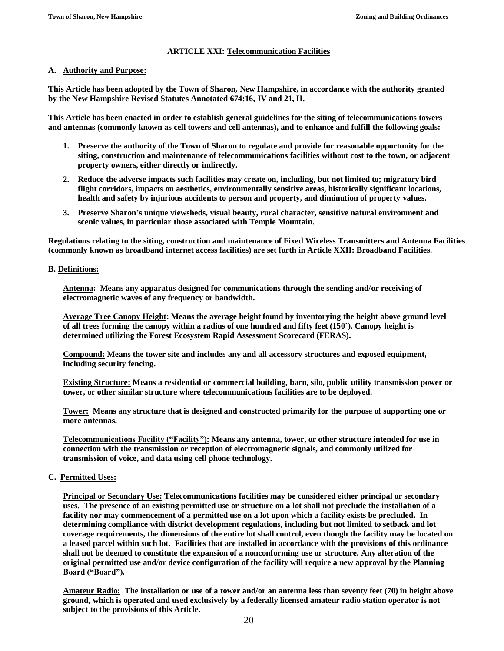## **ARTICLE XXI: Telecommunication Facilities**

## **A. Authority and Purpose:**

**This Article has been adopted by the Town of Sharon, New Hampshire, in accordance with the authority granted by the New Hampshire Revised Statutes Annotated 674:16, IV and 21, II.** 

**This Article has been enacted in order to establish general guidelines for the siting of telecommunications towers and antennas (commonly known as cell towers and cell antennas), and to enhance and fulfill the following goals:** 

- **1. Preserve the authority of the Town of Sharon to regulate and provide for reasonable opportunity for the siting, construction and maintenance of telecommunications facilities without cost to the town, or adjacent property owners, either directly or indirectly.**
- **2. Reduce the adverse impacts such facilities may create on, including, but not limited to; migratory bird flight corridors, impacts on aesthetics, environmentally sensitive areas, historically significant locations, health and safety by injurious accidents to person and property, and diminution of property values.**
- **3. Preserve Sharon's unique viewsheds, visual beauty, rural character, sensitive natural environment and scenic values, in particular those associated with Temple Mountain.**

**Regulations relating to the siting, construction and maintenance of Fixed Wireless Transmitters and Antenna Facilities (commonly known as broadband internet access facilities) are set forth in Article XXII: Broadband Facilities.** 

## **B. Definitions:**

**Antenna: Means any apparatus designed for communications through the sending and/or receiving of electromagnetic waves of any frequency or bandwidth.**

**Average Tree Canopy Height: Means the average height found by inventorying the height above ground level of all trees forming the canopy within a radius of one hundred and fifty feet (150'). Canopy height is determined utilizing the Forest Ecosystem Rapid Assessment Scorecard (FERAS).**

**Compound: Means the tower site and includes any and all accessory structures and exposed equipment, including security fencing.**

**Existing Structure: Means a residential or commercial building, barn, silo, public utility transmission power or tower, or other similar structure where telecommunications facilities are to be deployed.**

**Tower: Means any structure that is designed and constructed primarily for the purpose of supporting one or more antennas.** 

**Telecommunications Facility ("Facility"): Means any antenna, tower, or other structure intended for use in connection with the transmission or reception of electromagnetic signals, and commonly utilized for transmission of voice, and data using cell phone technology.**

## **C. Permitted Uses:**

**Principal or Secondary Use: Telecommunications facilities may be considered either principal or secondary uses. The presence of an existing permitted use or structure on a lot shall not preclude the installation of a facility nor may commencement of a permitted use on a lot upon which a facility exists be precluded. In determining compliance with district development regulations, including but not limited to setback and lot coverage requirements, the dimensions of the entire lot shall control, even though the facility may be located on a leased parcel within such lot. Facilities that are installed in accordance with the provisions of this ordinance shall not be deemed to constitute the expansion of a nonconforming use or structure. Any alteration of the original permitted use and/or device configuration of the facility will require a new approval by the Planning Board ("Board").**

**Amateur Radio: The installation or use of a tower and/or an antenna less than seventy feet (70) in height above ground, which is operated and used exclusively by a federally licensed amateur radio station operator is not subject to the provisions of this Article.**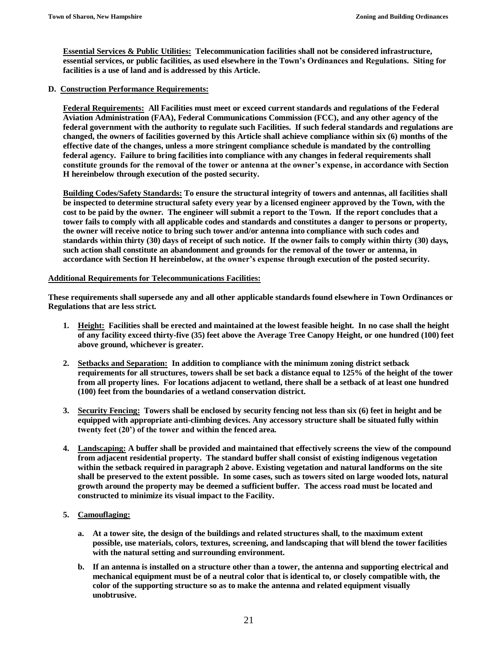**Essential Services & Public Utilities: Telecommunication facilities shall not be considered infrastructure, essential services, or public facilities, as used elsewhere in the Town's Ordinances and Regulations. Siting for facilities is a use of land and is addressed by this Article.**

### **D. Construction Performance Requirements:**

**Federal Requirements: All Facilities must meet or exceed current standards and regulations of the Federal Aviation Administration (FAA), Federal Communications Commission (FCC), and any other agency of the federal government with the authority to regulate such Facilities. If such federal standards and regulations are changed, the owners of facilities governed by this Article shall achieve compliance within six (6) months of the effective date of the changes, unless a more stringent compliance schedule is mandated by the controlling federal agency. Failure to bring facilities into compliance with any changes in federal requirements shall constitute grounds for the removal of the tower or antenna at the owner's expense, in accordance with Section H hereinbelow through execution of the posted security.** 

**Building Codes/Safety Standards: To ensure the structural integrity of towers and antennas, all facilities shall be inspected to determine structural safety every year by a licensed engineer approved by the Town, with the cost to be paid by the owner. The engineer will submit a report to the Town. If the report concludes that a tower fails to comply with all applicable codes and standards and constitutes a danger to persons or property, the owner will receive notice to bring such tower and/or antenna into compliance with such codes and standards within thirty (30) days of receipt of such notice. If the owner fails to comply within thirty (30) days, such action shall constitute an abandonment and grounds for the removal of the tower or antenna, in accordance with Section H hereinbelow, at the owner's expense through execution of the posted security.** 

#### **Additional Requirements for Telecommunications Facilities:**

**These requirements shall supersede any and all other applicable standards found elsewhere in Town Ordinances or Regulations that are less strict.**

- **1. Height: Facilities shall be erected and maintained at the lowest feasible height. In no case shall the height of any facility exceed thirty-five (35) feet above the Average Tree Canopy Height, or one hundred (100) feet above ground, whichever is greater.**
- **2. Setbacks and Separation: In addition to compliance with the minimum zoning district setback requirements for all structures, towers shall be set back a distance equal to 125% of the height of the tower from all property lines. For locations adjacent to wetland, there shall be a setback of at least one hundred (100) feet from the boundaries of a wetland conservation district.**
- **3. Security Fencing: Towers shall be enclosed by security fencing not less than six (6) feet in height and be equipped with appropriate anti-climbing devices. Any accessory structure shall be situated fully within twenty feet (20') of the tower and within the fenced area.**
- **4. Landscaping: A buffer shall be provided and maintained that effectively screens the view of the compound from adjacent residential property. The standard buffer shall consist of existing indigenous vegetation within the setback required in paragraph 2 above. Existing vegetation and natural landforms on the site shall be preserved to the extent possible. In some cases, such as towers sited on large wooded lots, natural growth around the property may be deemed a sufficient buffer. The access road must be located and constructed to minimize its visual impact to the Facility.**
- **5. Camouflaging:**
	- **a. At a tower site, the design of the buildings and related structures shall, to the maximum extent possible, use materials, colors, textures, screening, and landscaping that will blend the tower facilities with the natural setting and surrounding environment.**
	- **b. If an antenna is installed on a structure other than a tower, the antenna and supporting electrical and mechanical equipment must be of a neutral color that is identical to, or closely compatible with, the color of the supporting structure so as to make the antenna and related equipment visually unobtrusive.**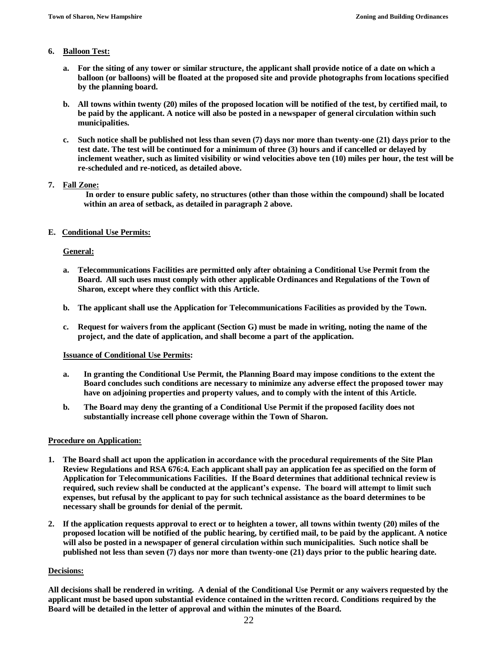## **6. Balloon Test:**

- **a. For the siting of any tower or similar structure, the applicant shall provide notice of a date on which a balloon (or balloons) will be floated at the proposed site and provide photographs from locations specified by the planning board.**
- **b. All towns within twenty (20) miles of the proposed location will be notified of the test, by certified mail, to be paid by the applicant. A notice will also be posted in a newspaper of general circulation within such municipalities.**
- **c. Such notice shall be published not less than seven (7) days nor more than twenty-one (21) days prior to the test date. The test will be continued for a minimum of three (3) hours and if cancelled or delayed by inclement weather, such as limited visibility or wind velocities above ten (10) miles per hour, the test will be re-scheduled and re-noticed, as detailed above.**

## **7. Fall Zone:**

**In order to ensure public safety, no structures (other than those within the compound) shall be located within an area of setback, as detailed in paragraph 2 above.**

## **E. Conditional Use Permits:**

## **General:**

- **a. Telecommunications Facilities are permitted only after obtaining a Conditional Use Permit from the Board. All such uses must comply with other applicable Ordinances and Regulations of the Town of Sharon, except where they conflict with this Article.**
- **b. The applicant shall use the Application for Telecommunications Facilities as provided by the Town.**
- **c. Request for waivers from the applicant (Section G) must be made in writing, noting the name of the project, and the date of application, and shall become a part of the application.**

### **Issuance of Conditional Use Permits:**

- **a. In granting the Conditional Use Permit, the Planning Board may impose conditions to the extent the Board concludes such conditions are necessary to minimize any adverse effect the proposed tower may have on adjoining properties and property values, and to comply with the intent of this Article.**
- **b. The Board may deny the granting of a Conditional Use Permit if the proposed facility does not substantially increase cell phone coverage within the Town of Sharon.**

### **Procedure on Application:**

- **1. The Board shall act upon the application in accordance with the procedural requirements of the Site Plan Review Regulations and RSA 676:4. Each applicant shall pay an application fee as specified on the form of Application for Telecommunications Facilities. If the Board determines that additional technical review is required, such review shall be conducted at the applicant's expense. The board will attempt to limit such expenses, but refusal by the applicant to pay for such technical assistance as the board determines to be necessary shall be grounds for denial of the permit.**
- **2. If the application requests approval to erect or to heighten a tower, all towns within twenty (20) miles of the proposed location will be notified of the public hearing, by certified mail, to be paid by the applicant. A notice will also be posted in a newspaper of general circulation within such municipalities. Such notice shall be published not less than seven (7) days nor more than twenty-one (21) days prior to the public hearing date.**

### **Decisions:**

**All decisions shall be rendered in writing. A denial of the Conditional Use Permit or any waivers requested by the applicant must be based upon substantial evidence contained in the written record. Conditions required by the Board will be detailed in the letter of approval and within the minutes of the Board.**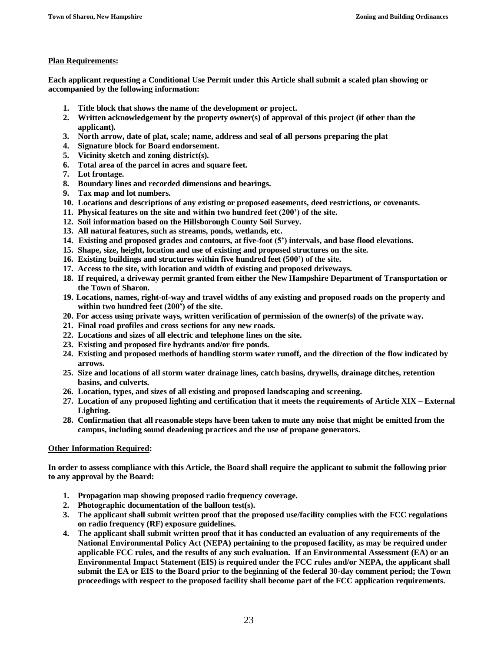## **Plan Requirements:**

**Each applicant requesting a Conditional Use Permit under this Article shall submit a scaled plan showing or accompanied by the following information:**

- **1. Title block that shows the name of the development or project.**
- **2. Written acknowledgement by the property owner(s) of approval of this project (if other than the applicant).**
- **3. North arrow, date of plat, scale; name, address and seal of all persons preparing the plat**
- **4. Signature block for Board endorsement.**
- **5. Vicinity sketch and zoning district(s).**
- **6. Total area of the parcel in acres and square feet.**
- **7. Lot frontage.**
- **8. Boundary lines and recorded dimensions and bearings.**
- **9. Tax map and lot numbers.**
- **10. Locations and descriptions of any existing or proposed easements, deed restrictions, or covenants.**
- **11. Physical features on the site and within two hundred feet (200') of the site.**
- **12. Soil information based on the Hillsborough County Soil Survey.**
- **13. All natural features, such as streams, ponds, wetlands, etc.**
- **14. Existing and proposed grades and contours, at five-foot (5') intervals, and base flood elevations.**
- **15. Shape, size, height, location and use of existing and proposed structures on the site.**
- **16. Existing buildings and structures within five hundred feet (500') of the site.**
- **17. Access to the site, with location and width of existing and proposed driveways.**
- **18. If required, a driveway permit granted from either the New Hampshire Department of Transportation or the Town of Sharon.**
- **19. Locations, names, right-of-way and travel widths of any existing and proposed roads on the property and within two hundred feet (200') of the site.**
- **20. For access using private ways, written verification of permission of the owner(s) of the private way.**
- **21. Final road profiles and cross sections for any new roads.**
- **22. Locations and sizes of all electric and telephone lines on the site.**
- **23. Existing and proposed fire hydrants and/or fire ponds.**
- **24. Existing and proposed methods of handling storm water runoff, and the direction of the flow indicated by arrows.**
- **25. Size and locations of all storm water drainage lines, catch basins, drywells, drainage ditches, retention basins, and culverts.**
- **26. Location, types, and sizes of all existing and proposed landscaping and screening.**
- **27. Location of any proposed lighting and certification that it meets the requirements of Article XIX – External Lighting.**
- **28. Confirmation that all reasonable steps have been taken to mute any noise that might be emitted from the campus, including sound deadening practices and the use of propane generators.**

### **Other Information Required:**

**In order to assess compliance with this Article, the Board shall require the applicant to submit the following prior to any approval by the Board:**

- **1. Propagation map showing proposed radio frequency coverage.**
- **2. Photographic documentation of the balloon test(s).**
- **3. The applicant shall submit written proof that the proposed use/facility complies with the FCC regulations on radio frequency (RF) exposure guidelines.**
- **4. The applicant shall submit written proof that it has conducted an evaluation of any requirements of the National Environmental Policy Act (NEPA) pertaining to the proposed facility, as may be required under applicable FCC rules, and the results of any such evaluation. If an Environmental Assessment (EA) or an Environmental Impact Statement (EIS) is required under the FCC rules and/or NEPA, the applicant shall submit the EA or EIS to the Board prior to the beginning of the federal 30-day comment period; the Town proceedings with respect to the proposed facility shall become part of the FCC application requirements.**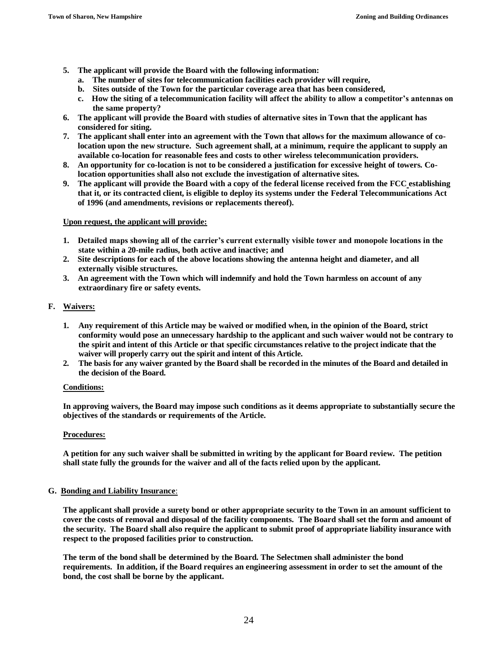- **5. The applicant will provide the Board with the following information:** 
	- **a. The number of sites for telecommunication facilities each provider will require,**
	- **b. Sites outside of the Town for the particular coverage area that has been considered,**
	- **c. How the siting of a telecommunication facility will affect the ability to allow a competitor's antennas on the same property?**
- **6. The applicant will provide the Board with studies of alternative sites in Town that the applicant has considered for siting.**
- **7. The applicant shall enter into an agreement with the Town that allows for the maximum allowance of colocation upon the new structure. Such agreement shall, at a minimum, require the applicant to supply an available co-location for reasonable fees and costs to other wireless telecommunication providers.**
- **8. An opportunity for co-location is not to be considered a justification for excessive height of towers. Colocation opportunities shall also not exclude the investigation of alternative sites.**
- **9. The applicant will provide the Board with a copy of the federal license received from the FCC establishing that it, or its contracted client, is eligible to deploy its systems under the Federal Telecommunications Act of 1996 (and amendments, revisions or replacements thereof).**

## **Upon request, the applicant will provide:**

- **1. Detailed maps showing all of the carrier's current externally visible tower and monopole locations in the state within a 20-mile radius, both active and inactive; and**
- **2. Site descriptions for each of the above locations showing the antenna height and diameter, and all externally visible structures.**
- **3. An agreement with the Town which will indemnify and hold the Town harmless on account of any extraordinary fire or safety events.**

## **F. Waivers:**

- **1. Any requirement of this Article may be waived or modified when, in the opinion of the Board, strict conformity would pose an unnecessary hardship to the applicant and such waiver would not be contrary to the spirit and intent of this Article or that specific circumstances relative to the project indicate that the waiver will properly carry out the spirit and intent of this Article.**
- **2. The basis for any waiver granted by the Board shall be recorded in the minutes of the Board and detailed in the decision of the Board.**

### **Conditions:**

**In approving waivers, the Board may impose such conditions as it deems appropriate to substantially secure the objectives of the standards or requirements of the Article.**

### **Procedures:**

**A petition for any such waiver shall be submitted in writing by the applicant for Board review. The petition shall state fully the grounds for the waiver and all of the facts relied upon by the applicant.** 

### **G. Bonding and Liability Insurance**:

**The applicant shall provide a surety bond or other appropriate security to the Town in an amount sufficient to cover the costs of removal and disposal of the facility components. The Board shall set the form and amount of the security. The Board shall also require the applicant to submit proof of appropriate liability insurance with respect to the proposed facilities prior to construction.** 

**The term of the bond shall be determined by the Board. The Selectmen shall administer the bond requirements. In addition, if the Board requires an engineering assessment in order to set the amount of the bond, the cost shall be borne by the applicant.**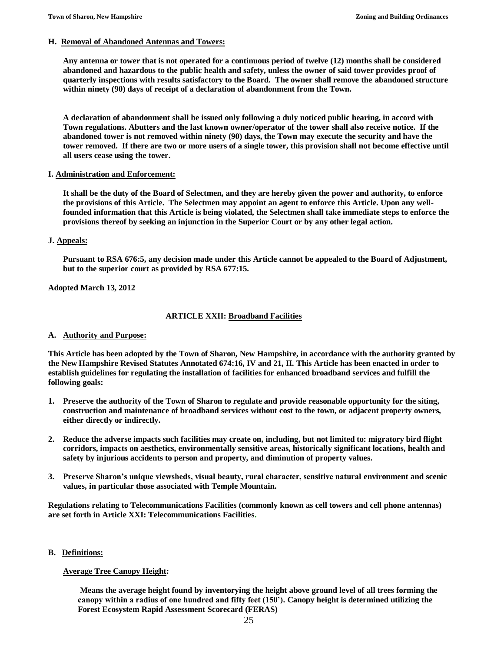#### **H. Removal of Abandoned Antennas and Towers:**

**Any antenna or tower that is not operated for a continuous period of twelve (12) months shall be considered abandoned and hazardous to the public health and safety, unless the owner of said tower provides proof of quarterly inspections with results satisfactory to the Board. The owner shall remove the abandoned structure within ninety (90) days of receipt of a declaration of abandonment from the Town.**

**A declaration of abandonment shall be issued only following a duly noticed public hearing, in accord with Town regulations. Abutters and the last known owner/operator of the tower shall also receive notice. If the abandoned tower is not removed within ninety (90) days, the Town may execute the security and have the tower removed. If there are two or more users of a single tower, this provision shall not become effective until all users cease using the tower.** 

### **I. Administration and Enforcement:**

**It shall be the duty of the Board of Selectmen, and they are hereby given the power and authority, to enforce the provisions of this Article. The Selectmen may appoint an agent to enforce this Article. Upon any wellfounded information that this Article is being violated, the Selectmen shall take immediate steps to enforce the provisions thereof by seeking an injunction in the Superior Court or by any other legal action.** 

#### **J. Appeals:**

**Pursuant to RSA 676:5, any decision made under this Article cannot be appealed to the Board of Adjustment, but to the superior court as provided by RSA 677:15.** 

#### **Adopted March 13, 2012**

### **ARTICLE XXII: Broadband Facilities**

#### **A. Authority and Purpose:**

**This Article has been adopted by the Town of Sharon, New Hampshire, in accordance with the authority granted by the New Hampshire Revised Statutes Annotated 674:16, IV and 21, II. This Article has been enacted in order to establish guidelines for regulating the installation of facilities for enhanced broadband services and fulfill the following goals:** 

- **1. Preserve the authority of the Town of Sharon to regulate and provide reasonable opportunity for the siting, construction and maintenance of broadband services without cost to the town, or adjacent property owners, either directly or indirectly.**
- **2. Reduce the adverse impacts such facilities may create on, including, but not limited to: migratory bird flight corridors, impacts on aesthetics, environmentally sensitive areas, historically significant locations, health and safety by injurious accidents to person and property, and diminution of property values.**
- **3. Preserve Sharon's unique viewsheds, visual beauty, rural character, sensitive natural environment and scenic values, in particular those associated with Temple Mountain.**

**Regulations relating to Telecommunications Facilities (commonly known as cell towers and cell phone antennas) are set forth in Article XXI: Telecommunications Facilities.**

#### **B. Definitions:**

### **Average Tree Canopy Height:**

**Means the average height found by inventorying the height above ground level of all trees forming the canopy within a radius of one hundred and fifty feet (150'). Canopy height is determined utilizing the Forest Ecosystem Rapid Assessment Scorecard (FERAS)**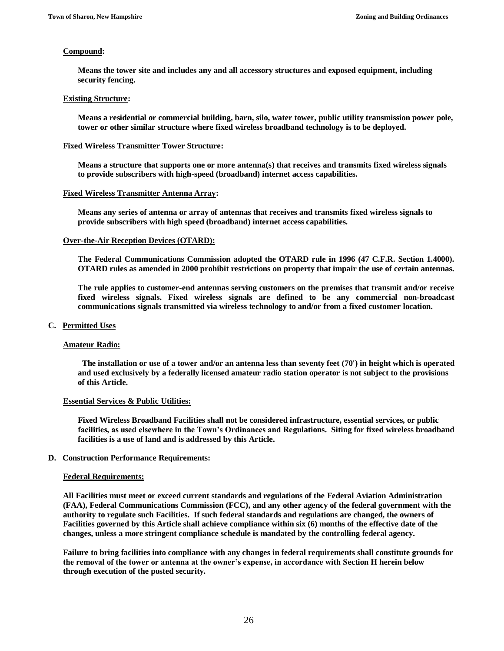#### **Compound:**

**Means the tower site and includes any and all accessory structures and exposed equipment, including security fencing.**

## **Existing Structure:**

**Means a residential or commercial building, barn, silo, water tower, public utility transmission power pole, tower or other similar structure where fixed wireless broadband technology is to be deployed.**

#### **Fixed Wireless Transmitter Tower Structure:**

**Means a structure that supports one or more antenna(s) that receives and transmits fixed wireless signals to provide subscribers with high-speed (broadband) internet access capabilities.**

#### **Fixed Wireless Transmitter Antenna Array:**

**Means any series of antenna or array of antennas that receives and transmits fixed wireless signals to provide subscribers with high speed (broadband) internet access capabilities.**

#### **Over-the-Air Reception Devices (OTARD):**

**The Federal Communications Commission adopted the OTARD rule in 1996 (47 C.F.R. Section 1.4000). OTARD rules as amended in 2000 prohibit restrictions on property that impair the use of certain antennas.** 

**The rule applies to customer-end antennas serving customers on the premises that transmit and/or receive fixed wireless signals. Fixed wireless signals are defined to be any commercial non-broadcast communications signals transmitted via wireless technology to and/or from a fixed customer location.**

#### **C. Permitted Uses**

#### **Amateur Radio:**

 **The installation or use of a tower and/or an antenna less than seventy feet (70') in height which is operated and used exclusively by a federally licensed amateur radio station operator is not subject to the provisions of this Article.**

#### **Essential Services & Public Utilities:**

**Fixed Wireless Broadband Facilities shall not be considered infrastructure, essential services, or public facilities, as used elsewhere in the Town's Ordinances and Regulations. Siting for fixed wireless broadband facilities is a use of land and is addressed by this Article.**

### **D. Construction Performance Requirements:**

#### **Federal Requirements:**

**All Facilities must meet or exceed current standards and regulations of the Federal Aviation Administration (FAA), Federal Communications Commission (FCC), and any other agency of the federal government with the authority to regulate such Facilities. If such federal standards and regulations are changed, the owners of Facilities governed by this Article shall achieve compliance within six (6) months of the effective date of the changes, unless a more stringent compliance schedule is mandated by the controlling federal agency.** 

**Failure to bring facilities into compliance with any changes in federal requirements shall constitute grounds for the removal of the tower or antenna at the owner's expense, in accordance with Section H herein below through execution of the posted security.**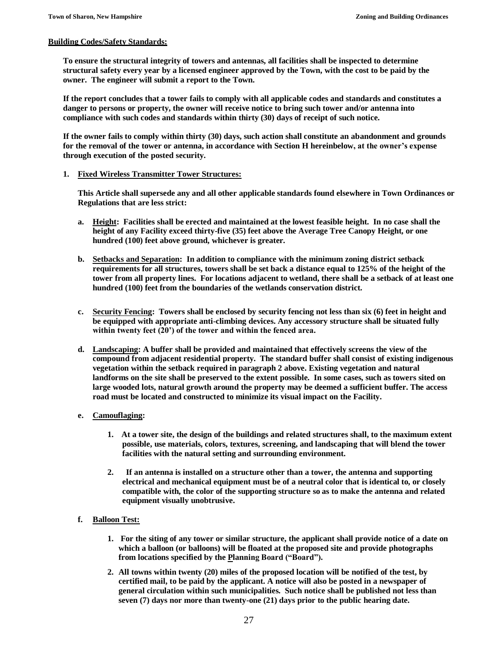#### **Building Codes/Safety Standards:**

**To ensure the structural integrity of towers and antennas, all facilities shall be inspected to determine structural safety every year by a licensed engineer approved by the Town, with the cost to be paid by the owner. The engineer will submit a report to the Town.** 

**If the report concludes that a tower fails to comply with all applicable codes and standards and constitutes a danger to persons or property, the owner will receive notice to bring such tower and/or antenna into compliance with such codes and standards within thirty (30) days of receipt of such notice.** 

**If the owner fails to comply within thirty (30) days, such action shall constitute an abandonment and grounds for the removal of the tower or antenna, in accordance with Section H hereinbelow, at the owner's expense through execution of the posted security.**

#### **1. Fixed Wireless Transmitter Tower Structures:**

**This Article shall supersede any and all other applicable standards found elsewhere in Town Ordinances or Regulations that are less strict:**

- **a. Height: Facilities shall be erected and maintained at the lowest feasible height. In no case shall the height of any Facility exceed thirty-five (35) feet above the Average Tree Canopy Height, or one hundred (100) feet above ground, whichever is greater.**
- **b. Setbacks and Separation: In addition to compliance with the minimum zoning district setback requirements for all structures, towers shall be set back a distance equal to 125% of the height of the tower from all property lines. For locations adjacent to wetland, there shall be a setback of at least one hundred (100) feet from the boundaries of the wetlands conservation district.**
- **c. Security Fencing: Towers shall be enclosed by security fencing not less than six (6) feet in height and be equipped with appropriate anti-climbing devices. Any accessory structure shall be situated fully within twenty feet (20') of the tower and within the fenced area.**
- **d. Landscaping: A buffer shall be provided and maintained that effectively screens the view of the compound from adjacent residential property. The standard buffer shall consist of existing indigenous vegetation within the setback required in paragraph 2 above. Existing vegetation and natural landforms on the site shall be preserved to the extent possible. In some cases, such as towers sited on large wooded lots, natural growth around the property may be deemed a sufficient buffer. The access road must be located and constructed to minimize its visual impact on the Facility.**

### **e. Camouflaging:**

- **1. At a tower site, the design of the buildings and related structures shall, to the maximum extent possible, use materials, colors, textures, screening, and landscaping that will blend the tower facilities with the natural setting and surrounding environment.**
- **2. If an antenna is installed on a structure other than a tower, the antenna and supporting electrical and mechanical equipment must be of a neutral color that is identical to, or closely compatible with, the color of the supporting structure so as to make the antenna and related equipment visually unobtrusive.**
- **f. Balloon Test:**
	- **1. For the siting of any tower or similar structure, the applicant shall provide notice of a date on which a balloon (or balloons) will be floated at the proposed site and provide photographs from locations specified by the Planning Board ("Board").**
	- **2. All towns within twenty (20) miles of the proposed location will be notified of the test, by certified mail, to be paid by the applicant. A notice will also be posted in a newspaper of general circulation within such municipalities. Such notice shall be published not less than seven (7) days nor more than twenty-one (21) days prior to the public hearing date.**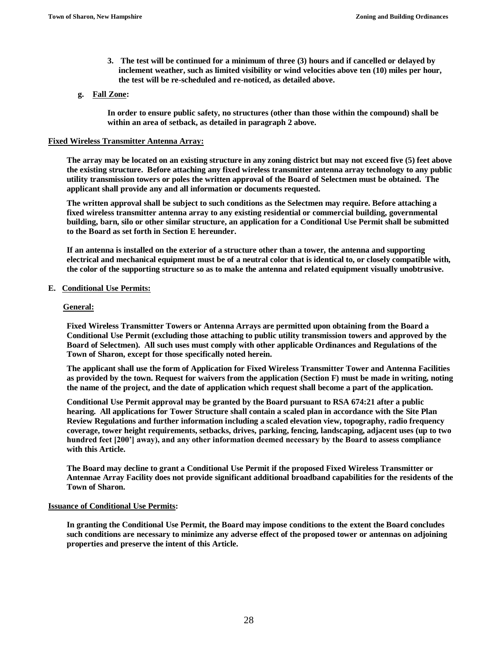**3. The test will be continued for a minimum of three (3) hours and if cancelled or delayed by inclement weather, such as limited visibility or wind velocities above ten (10) miles per hour, the test will be re-scheduled and re-noticed, as detailed above.**

### **g. Fall Zone:**

**In order to ensure public safety, no structures (other than those within the compound) shall be within an area of setback, as detailed in paragraph 2 above.**

#### **Fixed Wireless Transmitter Antenna Array:**

**The array may be located on an existing structure in any zoning district but may not exceed five (5) feet above the existing structure. Before attaching any fixed wireless transmitter antenna array technology to any public utility transmission towers or poles the written approval of the Board of Selectmen must be obtained. The applicant shall provide any and all information or documents requested.**

**The written approval shall be subject to such conditions as the Selectmen may require. Before attaching a fixed wireless transmitter antenna array to any existing residential or commercial building, governmental building, barn, silo or other similar structure, an application for a Conditional Use Permit shall be submitted to the Board as set forth in Section E hereunder.**

**If an antenna is installed on the exterior of a structure other than a tower, the antenna and supporting electrical and mechanical equipment must be of a neutral color that is identical to, or closely compatible with, the color of the supporting structure so as to make the antenna and related equipment visually unobtrusive.**

#### **E. Conditional Use Permits:**

#### **General:**

**Fixed Wireless Transmitter Towers or Antenna Arrays are permitted upon obtaining from the Board a Conditional Use Permit (excluding those attaching to public utility transmission towers and approved by the Board of Selectmen). All such uses must comply with other applicable Ordinances and Regulations of the Town of Sharon, except for those specifically noted herein.**

**The applicant shall use the form of Application for Fixed Wireless Transmitter Tower and Antenna Facilities as provided by the town. Request for waivers from the application (Section F) must be made in writing, noting the name of the project, and the date of application which request shall become a part of the application.**

**Conditional Use Permit approval may be granted by the Board pursuant to RSA 674:21 after a public hearing. All applications for Tower Structure shall contain a scaled plan in accordance with the Site Plan Review Regulations and further information including a scaled elevation view, topography, radio frequency coverage, tower height requirements, setbacks, drives, parking, fencing, landscaping, adjacent uses (up to two hundred feet [200'] away), and any other information deemed necessary by the Board to assess compliance with this Article.**

**The Board may decline to grant a Conditional Use Permit if the proposed Fixed Wireless Transmitter or Antennae Array Facility does not provide significant additional broadband capabilities for the residents of the Town of Sharon.**

## **Issuance of Conditional Use Permits:**

**In granting the Conditional Use Permit, the Board may impose conditions to the extent the Board concludes such conditions are necessary to minimize any adverse effect of the proposed tower or antennas on adjoining properties and preserve the intent of this Article.**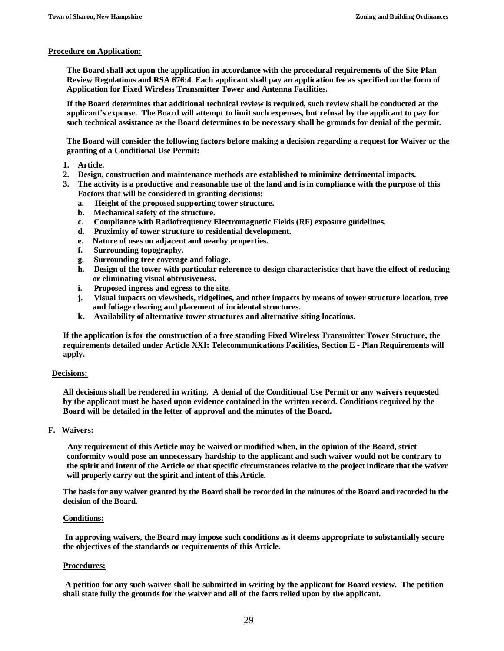#### **Procedure on Application:**

**The Board shall act upon the application in accordance with the procedural requirements of the Site Plan Review Regulations and RSA 676:4. Each applicant shall pay an application fee as specified on the form of Application for Fixed Wireless Transmitter Tower and Antenna Facilities.**

**If the Board determines that additional technical review is required, such review shall be conducted at the applicant's expense. The Board will attempt to limit such expenses, but refusal by the applicant to pay for such technical assistance as the Board determines to be necessary shall be grounds for denial of the permit.**

**The Board will consider the following factors before making a decision regarding a request for Waiver or the granting of a Conditional Use Permit:**

- **1. Article.**
- **2. Design, construction and maintenance methods are established to minimize detrimental impacts.**
- **3. The activity is a productive and reasonable use of the land and is in compliance with the purpose of this Factors that will be considered in granting decisions:**
	- **a. Height of the proposed supporting tower structure.**
	- **b. Mechanical safety of the structure.**
	- **c. Compliance with Radiofrequency Electromagnetic Fields (RF) exposure guidelines.**
	- **d. Proximity of tower structure to residential development.**
	- **e. Nature of uses on adjacent and nearby properties.**
	- **f. Surrounding topography.**
	- **g. Surrounding tree coverage and foliage.**
	- **h. Design of the tower with particular reference to design characteristics that have the effect of reducing or eliminating visual obtrusiveness.**
	- **i. Proposed ingress and egress to the site.**
	- **j. Visual impacts on viewsheds, ridgelines, and other impacts by means of tower structure location, tree and foliage clearing and placement of incidental structures.**
	- **k. Availability of alternative tower structures and alternative siting locations.**

**If the application is for the construction of a free standing Fixed Wireless Transmitter Tower Structure, the requirements detailed under Article XXI: Telecommunications Facilities, Section E - Plan Requirements will apply.**

### **Decisions:**

**All decisions shall be rendered in writing. A denial of the Conditional Use Permit or any waivers requested by the applicant must be based upon evidence contained in the written record. Conditions required by the Board will be detailed in the letter of approval and the minutes of the Board.**

## **F. Waivers:**

 **Any requirement of this Article may be waived or modified when, in the opinion of the Board, strict conformity would pose an unnecessary hardship to the applicant and such waiver would not be contrary to the spirit and intent of the Article or that specific circumstances relative to the project indicate that the waiver will properly carry out the spirit and intent of this Article.**

**The basis for any waiver granted by the Board shall be recorded in the minutes of the Board and recorded in the decision of the Board.**

#### **Conditions:**

**In approving waivers, the Board may impose such conditions as it deems appropriate to substantially secure the objectives of the standards or requirements of this Article.** 

### **Procedures:**

**A petition for any such waiver shall be submitted in writing by the applicant for Board review. The petition shall state fully the grounds for the waiver and all of the facts relied upon by the applicant.**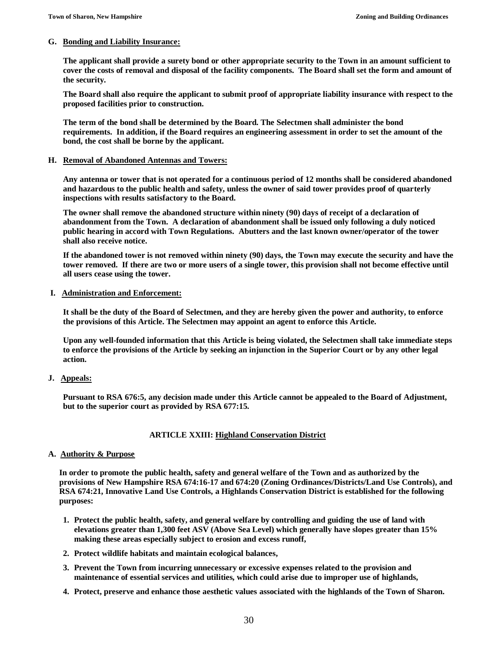#### **G. Bonding and Liability Insurance:**

**The applicant shall provide a surety bond or other appropriate security to the Town in an amount sufficient to cover the costs of removal and disposal of the facility components. The Board shall set the form and amount of the security.**

**The Board shall also require the applicant to submit proof of appropriate liability insurance with respect to the proposed facilities prior to construction.** 

**The term of the bond shall be determined by the Board. The Selectmen shall administer the bond requirements. In addition, if the Board requires an engineering assessment in order to set the amount of the bond, the cost shall be borne by the applicant.** 

#### **H. Removal of Abandoned Antennas and Towers:**

**Any antenna or tower that is not operated for a continuous period of 12 months shall be considered abandoned and hazardous to the public health and safety, unless the owner of said tower provides proof of quarterly inspections with results satisfactory to the Board.**

**The owner shall remove the abandoned structure within ninety (90) days of receipt of a declaration of abandonment from the Town. A declaration of abandonment shall be issued only following a duly noticed public hearing in accord with Town Regulations. Abutters and the last known owner/operator of the tower shall also receive notice.**

**If the abandoned tower is not removed within ninety (90) days, the Town may execute the security and have the tower removed. If there are two or more users of a single tower, this provision shall not become effective until all users cease using the tower.**

### **I. Administration and Enforcement:**

**It shall be the duty of the Board of Selectmen, and they are hereby given the power and authority, to enforce the provisions of this Article. The Selectmen may appoint an agent to enforce this Article.**

**Upon any well-founded information that this Article is being violated, the Selectmen shall take immediate steps to enforce the provisions of the Article by seeking an injunction in the Superior Court or by any other legal action.** 

### **J. Appeals:**

**Pursuant to RSA 676:5, any decision made under this Article cannot be appealed to the Board of Adjustment, but to the superior court as provided by RSA 677:15.**

### **ARTICLE XXIII: Highland Conservation District**

### **A. Authority & Purpose**

**In order to promote the public health, safety and general welfare of the Town and as authorized by the provisions of New Hampshire RSA 674:16-17 and 674:20 (Zoning Ordinances/Districts/Land Use Controls), and RSA 674:21, Innovative Land Use Controls, a Highlands Conservation District is established for the following purposes:**

- **1. Protect the public health, safety, and general welfare by controlling and guiding the use of land with elevations greater than 1,300 feet ASV (Above Sea Level) which generally have slopes greater than 15% making these areas especially subject to erosion and excess runoff,**
- **2. Protect wildlife habitats and maintain ecological balances,**
- **3. Prevent the Town from incurring unnecessary or excessive expenses related to the provision and maintenance of essential services and utilities, which could arise due to improper use of highlands,**
- **4. Protect, preserve and enhance those aesthetic values associated with the highlands of the Town of Sharon.**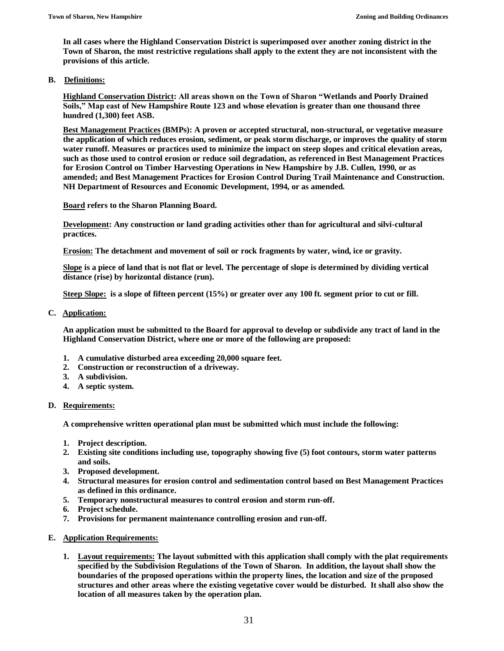**In all cases where the Highland Conservation District is superimposed over another zoning district in the Town of Sharon, the most restrictive regulations shall apply to the extent they are not inconsistent with the provisions of this article.**

## **B. Definitions:**

**Highland Conservation District: All areas shown on the Town of Sharon "Wetlands and Poorly Drained Soils," Map east of New Hampshire Route 123 and whose elevation is greater than one thousand three hundred (1,300) feet ASB.**

**Best Management Practices (BMPs): A proven or accepted structural, non-structural, or vegetative measure the application of which reduces erosion, sediment, or peak storm discharge, or improves the quality of storm water runoff. Measures or practices used to minimize the impact on steep slopes and critical elevation areas, such as those used to control erosion or reduce soil degradation, as referenced in Best Management Practices for Erosion Control on Timber Harvesting Operations in New Hampshire by J.B. Cullen, 1990, or as amended; and Best Management Practices for Erosion Control During Trail Maintenance and Construction. NH Department of Resources and Economic Development, 1994, or as amended.**

**Board refers to the Sharon Planning Board.**

**Development: Any construction or land grading activities other than for agricultural and silvi-cultural practices.**

**Erosion: The detachment and movement of soil or rock fragments by water, wind, ice or gravity.**

**Slope is a piece of land that is not flat or level. The percentage of slope is determined by dividing vertical distance (rise) by horizontal distance (run).**

**Steep Slope: is a slope of fifteen percent (15%) or greater over any 100 ft. segment prior to cut or fill.** 

**C. Application:**

**An application must be submitted to the Board for approval to develop or subdivide any tract of land in the Highland Conservation District, where one or more of the following are proposed:**

- **1. A cumulative disturbed area exceeding 20,000 square feet.**
- **2. Construction or reconstruction of a driveway.**
- **3. A subdivision.**
- **4. A septic system.**

### **D. Requirements:**

**A comprehensive written operational plan must be submitted which must include the following:**

- **1. Project description.**
- **2. Existing site conditions including use, topography showing five (5) foot contours, storm water patterns and soils.**
- **3. Proposed development.**
- **4. Structural measures for erosion control and sedimentation control based on Best Management Practices as defined in this ordinance.**
- **5. Temporary nonstructural measures to control erosion and storm run-off.**
- **6. Project schedule.**
- **7. Provisions for permanent maintenance controlling erosion and run-off.**
- **E. Application Requirements:**
	- **1. Layout requirements: The layout submitted with this application shall comply with the plat requirements specified by the Subdivision Regulations of the Town of Sharon. In addition, the layout shall show the boundaries of the proposed operations within the property lines, the location and size of the proposed structures and other areas where the existing vegetative cover would be disturbed. It shall also show the location of all measures taken by the operation plan.**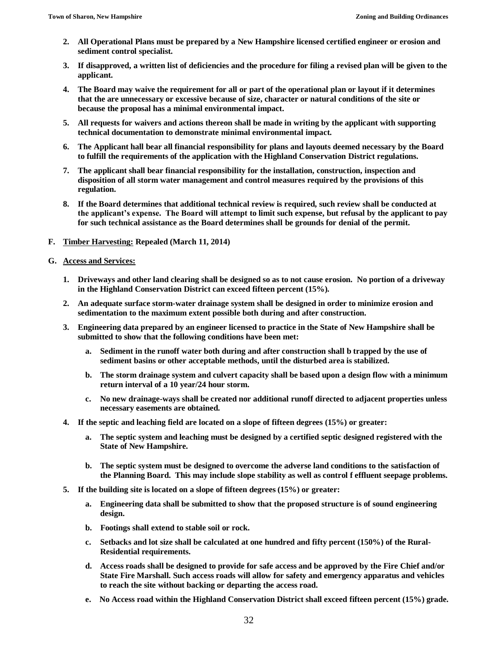- **2. All Operational Plans must be prepared by a New Hampshire licensed certified engineer or erosion and sediment control specialist.**
- **3. If disapproved, a written list of deficiencies and the procedure for filing a revised plan will be given to the applicant.**
- **4. The Board may waive the requirement for all or part of the operational plan or layout if it determines that the are unnecessary or excessive because of size, character or natural conditions of the site or because the proposal has a minimal environmental impact.**
- **5. All requests for waivers and actions thereon shall be made in writing by the applicant with supporting technical documentation to demonstrate minimal environmental impact.**
- **6. The Applicant hall bear all financial responsibility for plans and layouts deemed necessary by the Board to fulfill the requirements of the application with the Highland Conservation District regulations.**
- **7. The applicant shall bear financial responsibility for the installation, construction, inspection and disposition of all storm water management and control measures required by the provisions of this regulation.**
- **8. If the Board determines that additional technical review is required, such review shall be conducted at the applicant's expense. The Board will attempt to limit such expense, but refusal by the applicant to pay for such technical assistance as the Board determines shall be grounds for denial of the permit.**
- **F. Timber Harvesting: Repealed (March 11, 2014)**
- **G. Access and Services:**
	- **1. Driveways and other land clearing shall be designed so as to not cause erosion. No portion of a driveway in the Highland Conservation District can exceed fifteen percent (15%).**
	- **2. An adequate surface storm-water drainage system shall be designed in order to minimize erosion and sedimentation to the maximum extent possible both during and after construction.**
	- **3. Engineering data prepared by an engineer licensed to practice in the State of New Hampshire shall be submitted to show that the following conditions have been met:**
		- **a. Sediment in the runoff water both during and after construction shall b trapped by the use of sediment basins or other acceptable methods, until the disturbed area is stabilized.**
		- **b. The storm drainage system and culvert capacity shall be based upon a design flow with a minimum return interval of a 10 year/24 hour storm.**
		- **c. No new drainage-ways shall be created nor additional runoff directed to adjacent properties unless necessary easements are obtained.**
	- **4. If the septic and leaching field are located on a slope of fifteen degrees (15%) or greater:**
		- **a. The septic system and leaching must be designed by a certified septic designed registered with the State of New Hampshire.**
		- **b. The septic system must be designed to overcome the adverse land conditions to the satisfaction of the Planning Board. This may include slope stability as well as control f effluent seepage problems.**
	- **5. If the building site is located on a slope of fifteen degrees (15%) or greater:**
		- **a. Engineering data shall be submitted to show that the proposed structure is of sound engineering design.**
		- **b. Footings shall extend to stable soil or rock.**
		- **c. Setbacks and lot size shall be calculated at one hundred and fifty percent (150%) of the Rural-Residential requirements.**
		- **d. Access roads shall be designed to provide for safe access and be approved by the Fire Chief and/or State Fire Marshall. Such access roads will allow for safety and emergency apparatus and vehicles to reach the site without backing or departing the access road.**
		- **e. No Access road within the Highland Conservation District shall exceed fifteen percent (15%) grade.**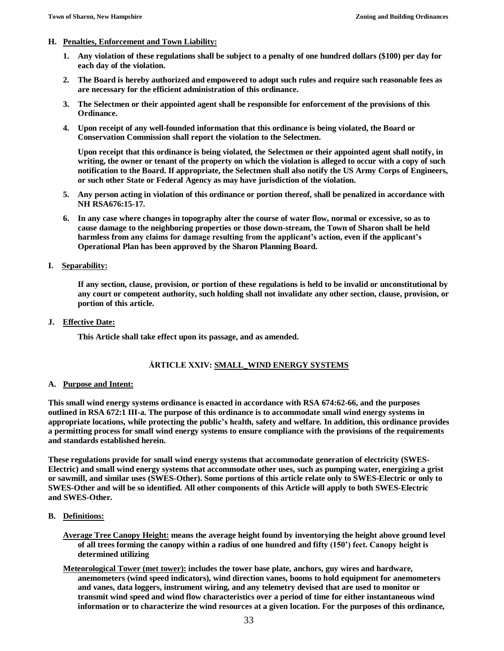## **H. Penalties, Enforcement and Town Liability:**

- **1. Any violation of these regulations shall be subject to a penalty of one hundred dollars (\$100) per day for each day of the violation.**
- **2. The Board is hereby authorized and empowered to adopt such rules and require such reasonable fees as are necessary for the efficient administration of this ordinance.**
- **3. The Selectmen or their appointed agent shall be responsible for enforcement of the provisions of this Ordinance.**
- **4. Upon receipt of any well-founded information that this ordinance is being violated, the Board or Conservation Commission shall report the violation to the Selectmen.**

**Upon receipt that this ordinance is being violated, the Selectmen or their appointed agent shall notify, in writing, the owner or tenant of the property on which the violation is alleged to occur with a copy of such notification to the Board. If appropriate, the Selectmen shall also notify the US Army Corps of Engineers, or such other State or Federal Agency as may have jurisdiction of the violation.**

- **5. Any person acting in violation of this ordinance or portion thereof, shall be penalized in accordance with NH RSA676:15-17.**
- **6. In any case where changes in topography alter the course of water flow, normal or excessive, so as to cause damage to the neighboring properties or those down-stream, the Town of Sharon shall be held harmless from any claims for damage resulting from the applicant's action, even if the applicant's Operational Plan has been approved by the Sharon Planning Board.**

## **I. Separability:**

**If any section, clause, provision, or portion of these regulations is held to be invalid or unconstitutional by any court or competent authority, such holding shall not invalidate any other section, clause, provision, or portion of this article.**

**J. Effective Date:**

**This Article shall take effect upon its passage, and as amended.**

## **ÅRTICLE XXIV: SMALL\_WIND ENERGY SYSTEMS**

## **A. Purpose and Intent:**

**This small wind energy systems ordinance is enacted in accordance with RSA 674:62-66, and the purposes outlined in RSA 672:1 IⅡ-a. The purpose of this ordinance is to accommodate small wind energy systems in appropriate locations, while protecting the public's health, safety and welfare. In addition, this ordinance provides a permitting process for small wind energy systems to ensure compliance with the provisions of the requirements and standards established herein.**

**These regulations provide for small wind energy systems that accommodate generation of electricity (SWES-Electric) and small wind energy systems that accommodate other uses, such as pumping water, energizing a grist or sawmill, and similar uses (SWES-Other). Some portions of this article relate only to SWES-Electric or only to SWES-Other and will be so identified. All other components of this Article will apply to both SWES-Electric and SWES-Other.**

- **B. Definitions:**
	- **Average Tree Canopy Height: means the average height found by inventorying the height above ground level of all trees forming the canopy within a radius of one hundred and fifty (150') feet. Canopy height is determined utilizing**
	- **Meteorological Tower (met tower): includes the tower base plate, anchors, guy wires and hardware, anemometers (wind speed indicators), wind direction vanes, booms to hold equipment for anemometers and vanes, data loggers, instrument wiring, and any telemetry devised that are used to monitor or transmit wind speed and wind flow characteristics over a period of time for either instantaneous wind information or to characterize the wind resources at a given location. For the purposes of this ordinance,**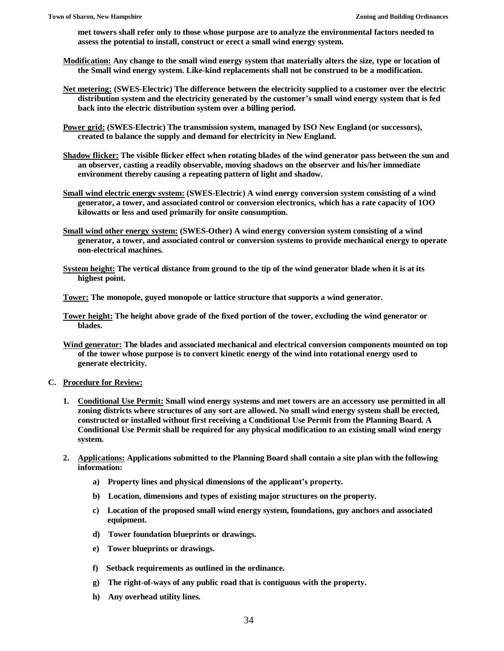**met towers shall refer only to those whose purpose are to analyze the environmental factors needed to assess the potential to install, construct or erect a small wind energy system.**

- **Modification: Any change to the small wind energy system that materially alters the size, type or location of the Small wind energy system. Like-kind replacements shall not be construed to be a modification.**
- **Net metering: (SWES-Electric) The difference between the electricity supplied to a customer over the electric distribution system and the electricity generated by the customer's small wind energy system that is fed back into the electric distribution system over a billing period.**
- **Power grid: (SWES-Electric) The transmission system, managed by ISO New England (or successors), created to balance the supply and demand for electricity in New England.**
- **Shadow flicker: The visible flicker effect when rotating blades of the wind generator pass between the sun and an observer, casting a readily observable, moving shadows on the observer and his/her immediate environment thereby causing a repeating pattern of light and shadow.**
- **Small wind electric energv svstem: (SWES-Electric) A wind energy conversion system consisting of a wind generator, a tower, and associated control or conversion electronics, which has a rate capacity of 1OO kilowatts or less and used primarily for onsite consumption.**
- **Small wind other energy system: (SWES-Other) A wind energy conversion system consisting of a wind generator, a tower, and associated control or conversion systems to provide mechanical energy to operate non-electrical machines.**
- **System height: The vertical distance from ground to the tip of the wind generator blade when it is at its highest point.**

**Tower: The monopole, guyed monopole or lattice structure that supports a wind generator.**

- **Tower height: The height above grade of the fixed portion of the tower, excluding the wind generator or blades.**
- **Wind generator: The blades and associated mechanical and electrical conversion components mounted on top of the tower whose purpose is to convert kinetic energy of the wind into rotational energy used to generate electricity.**
- **C. Procedure for Review:**
	- **1. Conditional Use Permit: Small wind energy systems and met towers are an accessory use permitted in all zoning districts where structures of any sort are allowed. No small wind energy system shall be erected, constructed or installed without first receiving a Conditional Use Permit from the Planning Board. A Conditional Use Permit shall be required for any physical modification to an existing small wind energy system.**
	- **2. Applications: Applications submitted to the Planning Board shall contain a site plan with the following information:**
		- **a) Property lines and physical dimensions of the applicant's property.**
		- **b) Location, dimensions and types of existing major structures on the property.**
		- **c) Location of the proposed small wind energy system, foundations, guy anchors and associated equipment.**
		- **d) Tower foundation blueprints or drawings.**
		- **e) Tower blueprints or drawings.**
		- **f) Setback requirements as outlined in the ordinance.**
		- **g) The right-of-ways of any public road that is contiguous with the property.**
		- **h) Any overhead utility lines.**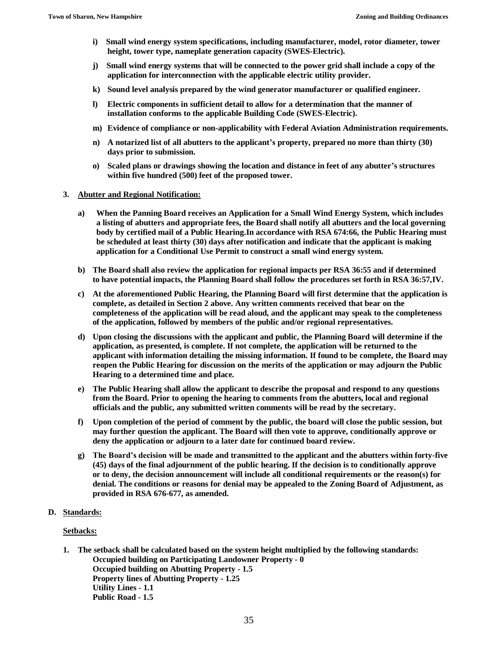- **i) Small wind energy system specifications, including manufacturer, model, rotor diameter, tower height, tower type, nameplate generation capacity (SWES-Electric).**
- **j) Small wind energy systems that will be connected to the power grid shall include a copy of the application for interconnection with the applicable electric utility provider.**
- **k) Sound level analysis prepared by the wind generator manufacturer or qualified engineer.**
- **l) Electric components in sufficient detail to allow for a determination that the manner of installation conforms to the applicable Building Code (SWES-Electric).**
- **m) Evidence of compliance or non-applicability with Federal Aviation Administration requirements.**
- **n) A notarized list of all abutters to the applicant's property, prepared no more than thirty (30) days prior to submission.**
- **o) Scaled plans or drawings showing the location and distance in feet of any abutter's structures within five hundred (500) feet of the proposed tower.**

#### **3. Abutter and Regional Notification:**

- **a) When the Panning Board receives an Application for a Small Wind Energy System, which includes a listing of abutters and appropriate fees, the Board shall notify all abutters and the local governing body by certified mail of a Public Hearing.In accordance with RSA 674:66, the Public Hearing must be scheduled at least thirty (30) days after notification and indicate that the applicant is making application for a Conditional Use Permit to construct a small wind energy system.**
- **b) The Board shall also review the application for regional impacts per RSA 36:55 and if determined to have potential impacts, the Planning Board shall follow the procedures set forth in RSA 36:57,IV.**
- **c) At the aforementioned Public Hearing, the Planning Board will first determine that the application is complete, as detailed in Section 2 above. Any written comments received that bear on the completeness of the application will be read aloud, and the applicant may speak to the completeness of the application, followed by members of the public and/or regional representatives.**
- **d) Upon closing the discussions with the applicant and public, the Planning Board will determine if the application, as presented, is complete. If not complete, the application will be returned to the applicant with information detailing the missing information. If found to be complete, the Board may reopen the Public Hearing for discussion on the merits of the application or may adjourn the Public Hearing to a determined time and place.**
- **e) The Public Hearing shall allow the applicant to describe the proposal and respond to any questions from the Board. Prior to opening the hearing to comments from the abutters, local and regional officials and the public, any submitted written comments will be read by the secretary.**
- **f) Upon completion of the period of comment by the public, the board will close the public session, but may further question the applicant. The Board will then vote to approve, conditionally approve or deny the application or adjourn to a later date for continued board review.**
- **g) The Board's decision will be made and transmitted to the applicant and the abutters within forty-five (45) days of the final adjournment of the public hearing. If the decision is to conditionally approve or to deny, the decision announcement will include all conditional requirements or the reason(s) for denial. The conditions or reasons for denial may be appealed to the Zoning Board of Adjustment, as provided in RSA 676-677, as amended.**

### **D. Standards:**

### **Setbacks:**

**1. The setback shall be calculated based on the system height multiplied by the following standards: Occupied building on Participating Landowner Property - 0 Occupied building on Abutting Property - 1.5 Property lines of Abutting Property - 1.25 Utility Lines - 1.1 Public Road - 1.5**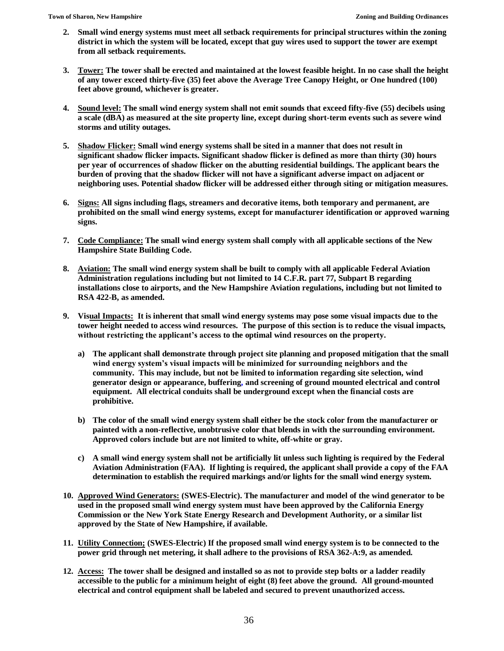- **2. Small wind energy systems must meet all setback requirements for principal structures within the zoning district in which the system will be located, except that guy wires used to support the tower are exempt from all setback requirements.**
- **3. Tower: The tower shall be erected and maintained at the lowest feasible height. In no case shall the height of any tower exceed thirty-five (35) feet above the Average Tree Canopy Height, or One hundred (100) feet above ground, whichever is greater.**
- **4. Sound level: The small wind energy system shall not emit sounds that exceed fifty-five (55) decibels using a scale (dBA) as measured at the site property line, except during short-term events such as severe wind storms and utility outages.**
- **5. Shadow Flicker: Small wind energy systems shall be sited in a manner that does not result in significant shadow flicker impacts. Significant shadow flicker is defined as more than thirty (30) hours per year of occurrences of shadow flicker on the abutting residential buildings. The applicant bears the burden of proving that the shadow flicker will not have a significant adverse impact on adjacent or neighboring uses. Potential shadow flicker will be addressed either through siting or mitigation measures.**
- **6. Signs: All signs including flags, streamers and decorative items, both temporary and permanent, are prohibited on the small wind energy systems, except for manufacturer identification or approved warning signs.**
- **7. Code Compliance: The small wind energy system shall comply with all applicable sections of the New Hampshire State Building Code.**
- **8. Aviation: The small wind energy system shall be built to comply with all applicable Federal Aviation Administration regulations including but not limited to 14 C.F.R. part 77, Subpart B regarding installations close to airports, and the New Hampshire Aviation regulations, including but not limited to RSA 422-B, as amended.**
- **9. Visual Impacts: It is inherent that small wind energy systems may pose some visual impacts due to the tower height needed to access wind resources. The purpose of this section is to reduce the visual impacts, without restricting the applicant's access to the optimal wind resources on the property.**
	- **a) The applicant shall demonstrate through project site planning and proposed mitigation that the small wind energy system's visual impacts will be minimized for surrounding neighbors and the community. This may include, but not be limited to information regarding site selection, wind generator design or appearance, buffering, and screening of ground mounted electrical and control equipment. All electrical conduits shall be underground except when the financial costs are prohibitive.**
	- **b) The color of the small wind energy system shall either be the stock color from the manufacturer or painted with a non-reflective, unobtrusive color that blends in with the surrounding environment. Approved colors include but are not limited to white, off-white or gray.**
	- **c) A small wind energy system shall not be artificially lit unless such lighting is required by the Federal Aviation Administration (FAA). If lighting is required, the applicant shall provide a copy of the FAA determination to establish the required markings and/or lights for the small wind energy system.**
- **10. Approved Wind Generators: (SWES-Electric). The manufacturer and model of the wind generator to be used in the proposed small wind energy system must have been approved by the California Energy Commission or the New York State Energy Research and Development Authority, or a similar list approved by the State of New Hampshire, if available.**
- **11. Utility Connection; (SWES-Electric) If the proposed small wind energy system is to be connected to the power grid through net metering, it shall adhere to the provisions of RSA 362-A:9, as amended.**
- **12. Access: The tower shall be designed and installed so as not to provide step bolts or a ladder readily accessible to the public for a minimum height of eight (8) feet above the ground. All ground-mounted electrical and control equipment shall be labeled and secured to prevent unauthorized access.**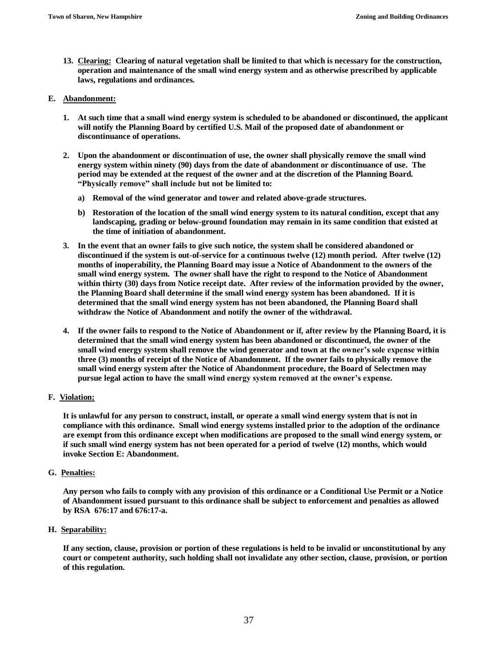**13. Clearing: Clearing of natural vegetation shall be limited to that which is necessary for the construction, operation and maintenance of the small wind energy system and as otherwise prescribed by applicable laws, regulations and ordinances.**

### **E. Abandonment:**

- **1. At such time that a small wind energy system is scheduled to be abandoned or discontinued, the applicant will notify the Planning Board by certified U.S. Mail of the proposed date of abandonment or discontinuance of operations.**
- **2. Upon the abandonment or discontinuation of use, the owner shall physically remove the small wind energy system within ninety (90) days from the date of abandonment or discontinuance of use. The period may be extended at the request of the owner and at the discretion of the Planning Board. "Physically remove" shall include but not be limited to:**
	- **a) Removal of the wind generator and tower and related above-grade structures.**
	- **b) Restoration of the location of the small wind energy system to its natural condition, except that any landscaping, grading or below-ground foundation may remain in its same condition that existed at the time of initiation of abandonment.**
- **3. In the event that an owner fails to give such notice, the system shall be considered abandoned or discontinued if the system is out-of-service for a continuous twelve (12) month period. After twelve (12) months of inoperability, the Planning Board may issue a Notice of Abandonment to the owners of the small wind energy system. The owner shall have the right to respond to the Notice of Abandonment within thirty (30) days from Notice receipt date. After review of the information provided by the owner, the Planning Board shall determine if the small wind energy system has been abandoned. If it is determined that the small wind energy system has not been abandoned, the Planning Board shall withdraw the Notice of Abandonment and notify the owner of the withdrawal.**
- **4. If the owner fails to respond to the Notice of Abandonment or if, after review by the Planning Board, it is determined that the small wind energy system has been abandoned or discontinued, the owner of the small wind energy system shall remove the wind generator and town at the owner's sole expense within three (3) months of receipt of the Notice of Abandonment. If the owner fails to physically remove the small wind energy system after the Notice of Abandonment procedure, the Board of Selectmen may pursue legal action to have the small wind energy system removed at the owner's expense.**

### **F. Violation:**

**It is unlawful for any person to construct, install, or operate a small wind energy system that is not in compliance with this ordinance. Small wind energy systems installed prior to the adoption of the ordinance are exempt from this ordinance except when modifications are proposed to the small wind energy system, or if such small wind energy system has not been operated for a period of twelve (12) months, which would invoke Section E: Abandonment.**

### **G. Penalties:**

**Any person who fails to comply with any provision of this ordinance or a Conditional Use Permit or a Notice of Abandonment issued pursuant to this ordinance shall be subject to enforcement and penalties as allowed by RSA 676:17 and 676:17-a.**

## **H. Separability:**

**If any section, clause, provision or portion of these regulations is held to be invalid or unconstitutional by any court or competent authority, such holding shall not invalidate any other section, clause, provision, or portion of this regulation.**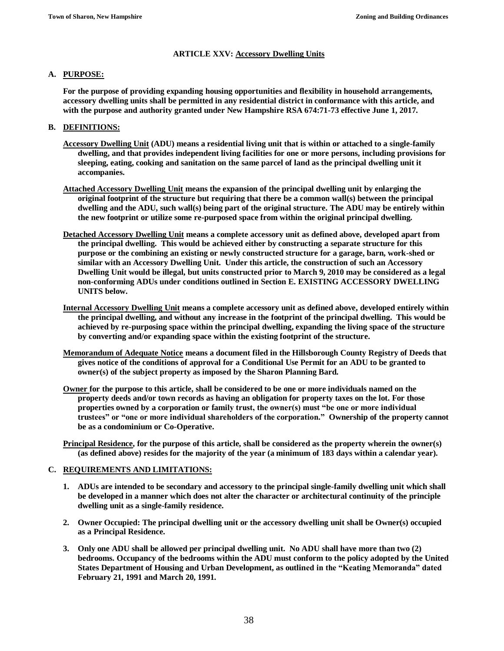## **ARTICLE XXV: Accessory Dwelling Units**

## **A. PURPOSE:**

**For the purpose of providing expanding housing opportunities and flexibility in household arrangements, accessory dwelling units shall be permitted in any residential district in conformance with this article, and with the purpose and authority granted under New Hampshire RSA 674:71-73 effective June 1, 2017.**

## **B. DEFINITIONS:**

- **Accessory Dwelling Unit (ADU) means a residential living unit that is within or attached to a single-family dwelling, and that provides independent living facilities for one or more persons, including provisions for sleeping, eating, cooking and sanitation on the same parcel of land as the principal dwelling unit it accompanies.**
- **Attached Accessory Dwelling Unit means the expansion of the principal dwelling unit by enlarging the original footprint of the structure but requiring that there be a common wall(s) between the principal dwelling and the ADU, such wall(s) being part of the original structure. The ADU may be entirely within the new footprint or utilize some re-purposed space from within the original principal dwelling.**
- **Detached Accessory Dwelling Unit means a complete accessory unit as defined above, developed apart from the principal dwelling. This would be achieved either by constructing a separate structure for this purpose or the combining an existing or newly constructed structure for a garage, barn, work-shed or similar with an Accessory Dwelling Unit. Under this article, the construction of such an Accessory Dwelling Unit would be illegal, but units constructed prior to March 9, 2010 may be considered as a legal non-conforming ADUs under conditions outlined in Section E. EXISTING ACCESSORY DWELLING UNITS below.**
- **Internal Accessory Dwelling Unit means a complete accessory unit as defined above, developed entirely within the principal dwelling, and without any increase in the footprint of the principal dwelling. This would be achieved by re-purposing space within the principal dwelling, expanding the living space of the structure by converting and/or expanding space within the existing footprint of the structure.**
- **Memorandum of Adequate Notice means a document filed in the Hillsborough County Registry of Deeds that gives notice of the conditions of approval for a Conditional Use Permit for an ADU to be granted to owner(s) of the subject property as imposed by the Sharon Planning Bard.**
- **Owner for the purpose to this article, shall be considered to be one or more individuals named on the property deeds and/or town records as having an obligation for property taxes on the lot. For those properties owned by a corporation or family trust, the owner(s) must "be one or more individual trustees" or "one or more individual shareholders of the corporation." Ownership of the property cannot be as a condominium or Co-Operative.**
- **Principal Residence, for the purpose of this article, shall be considered as the property wherein the owner(s) (as defined above) resides for the majority of the year (a minimum of 183 days within a calendar year).**

## **C. REQUIREMENTS AND LIMITATIONS:**

- **1. ADUs are intended to be secondary and accessory to the principal single-family dwelling unit which shall be developed in a manner which does not alter the character or architectural continuity of the principle dwelling unit as a single-family residence.**
- **2. Owner Occupied: The principal dwelling unit or the accessory dwelling unit shall be Owner(s) occupied as a Principal Residence.**
- **3. Only one ADU shall be allowed per principal dwelling unit. No ADU shall have more than two (2) bedrooms. Occupancy of the bedrooms within the ADU must conform to the policy adopted by the United States Department of Housing and Urban Development, as outlined in the "Keating Memoranda" dated February 21, 1991 and March 20, 1991.**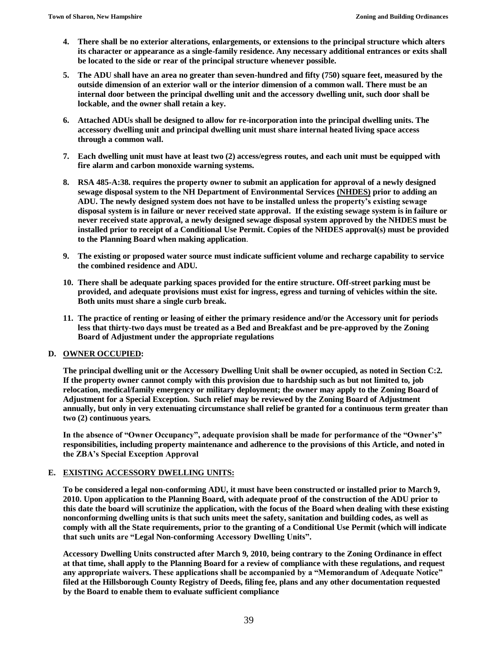- **4. There shall be no exterior alterations, enlargements, or extensions to the principal structure which alters its character or appearance as a single-family residence. Any necessary additional entrances or exits shall be located to the side or rear of the principal structure whenever possible.**
- **5. The ADU shall have an area no greater than seven-hundred and fifty (750) square feet, measured by the outside dimension of an exterior wall or the interior dimension of a common wall. There must be an internal door between the principal dwelling unit and the accessory dwelling unit, such door shall be lockable, and the owner shall retain a key.**
- **6. Attached ADUs shall be designed to allow for re-incorporation into the principal dwelling units. The accessory dwelling unit and principal dwelling unit must share internal heated living space access through a common wall.**
- **7. Each dwelling unit must have at least two (2) access/egress routes, and each unit must be equipped with fire alarm and carbon monoxide warning systems.**
- **8. RSA 485-A:38. requires the property owner to submit an application for approval of a newly designed sewage disposal system to the NH Department of Environmental Services (NHDES) prior to adding an ADU. The newly designed system does not have to be installed unless the property's existing sewage disposal system is in failure or never received state approval. If the existing sewage system is in failure or never received state approval, a newly designed sewage disposal system approved by the NHDES must be installed prior to receipt of a Conditional Use Permit. Copies of the NHDES approval(s) must be provided to the Planning Board when making application**.
- **9. The existing or proposed water source must indicate sufficient volume and recharge capability to service the combined residence and ADU.**
- **10. There shall be adequate parking spaces provided for the entire structure. Off-street parking must be provided, and adequate provisions must exist for ingress, egress and turning of vehicles within the site. Both units must share a single curb break.**
- **11. The practice of renting or leasing of either the primary residence and/or the Accessory unit for periods less that thirty-two days must be treated as a Bed and Breakfast and be pre-approved by the Zoning Board of Adjustment under the appropriate regulations**

### **D. OWNER OCCUPIED:**

**The principal dwelling unit or the Accessory Dwelling Unit shall be owner occupied, as noted in Section C:2. If the property owner cannot comply with this provision due to hardship such as but not limited to, job relocation, medical/family emergency or military deployment; the owner may apply to the Zoning Board of Adjustment for a Special Exception. Such relief may be reviewed by the Zoning Board of Adjustment annually, but only in very extenuating circumstance shall relief be granted for a continuous term greater than two (2) continuous years.**

**In the absence of "Owner Occupancy", adequate provision shall be made for performance of the "Owner's" responsibilities, including property maintenance and adherence to the provisions of this Article, and noted in the ZBA's Special Exception Approval**

### **E. EXISTING ACCESSORY DWELLING UNITS:**

**To be considered a legal non-conforming ADU, it must have been constructed or installed prior to March 9, 2010. Upon application to the Planning Board, with adequate proof of the construction of the ADU prior to this date the board will scrutinize the application, with the focus of the Board when dealing with these existing nonconforming dwelling units is that such units meet the safety, sanitation and building codes, as well as comply with all the State requirements, prior to the granting of a Conditional Use Permit (which will indicate that such units are "Legal Non-conforming Accessory Dwelling Units".**

**Accessory Dwelling Units constructed after March 9, 2010, being contrary to the Zoning Ordinance in effect at that time, shall apply to the Planning Board for a review of compliance with these regulations, and request any appropriate waivers. These applications shall be accompanied by a "Memorandum of Adequate Notice" filed at the Hillsborough County Registry of Deeds, filing fee, plans and any other documentation requested by the Board to enable them to evaluate sufficient compliance**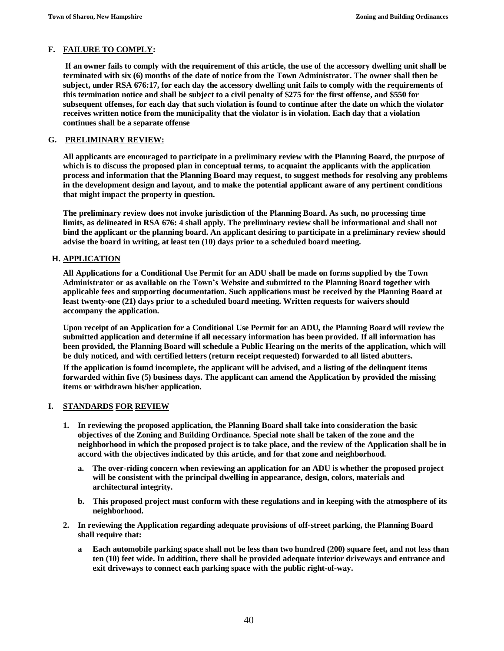## **F. FAILURE TO COMPLY:**

**If an owner fails to comply with the requirement of this article, the use of the accessory dwelling unit shall be terminated with six (6) months of the date of notice from the Town Administrator. The owner shall then be subject, under RSA 676:17, for each day the accessory dwelling unit fails to comply with the requirements of this termination notice and shall be subject to a civil penalty of \$275 for the first offense, and \$550 for subsequent offenses, for each day that such violation is found to continue after the date on which the violator receives written notice from the municipality that the violator is in violation. Each day that a violation continues shall be a separate offense**

## **G. PRELIMINARY REVIEW:**

**All applicants are encouraged to participate in a preliminary review with the Planning Board, the purpose of which is to discuss the proposed plan in conceptual terms, to acquaint the applicants with the application process and information that the Planning Board may request, to suggest methods for resolving any problems in the development design and layout, and to make the potential applicant aware of any pertinent conditions that might impact the property in question.**

**The preliminary review does not invoke jurisdiction of the Planning Board. As such, no processing time limits, as delineated in RSA 676: 4 shall apply. The preliminary review shall be informational and shall not bind the applicant or the planning board. An applicant desiring to participate in a preliminary review should advise the board in writing, at least ten (10) days prior to a scheduled board meeting.**

### **H. APPLICATION**

**All Applications for a Conditional Use Permit for an ADU shall be made on forms supplied by the Town Administrator or as available on the Town's Website and submitted to the Planning Board together with applicable fees and supporting documentation. Such applications must be received by the Planning Board at least twenty-one (21) days prior to a scheduled board meeting. Written requests for waivers should accompany the application.**

**Upon receipt of an Application for a Conditional Use Permit for an ADU, the Planning Board will review the submitted application and determine if all necessary information has been provided. If all information has been provided, the Planning Board will schedule a Public Hearing on the merits of the application, which will be duly noticed, and with certified letters (return receipt requested) forwarded to all listed abutters.**

**If the application is found incomplete, the applicant will be advised, and a listing of the delinquent items forwarded within five (5) business days. The applicant can amend the Application by provided the missing items or withdrawn his/her application.**

## **I. STANDARDS FOR REVIEW**

- **1. In reviewing the proposed application, the Planning Board shall take into consideration the basic objectives of the Zoning and Building Ordinance. Special note shall be taken of the zone and the neighborhood in which the proposed project is to take place, and the review of the Application shall be in accord with the objectives indicated by this article, and for that zone and neighborhood.**
	- **a. The over-riding concern when reviewing an application for an ADU is whether the proposed project will be consistent with the principal dwelling in appearance, design, colors, materials and architectural integrity.**
	- **b. This proposed project must conform with these regulations and in keeping with the atmosphere of its neighborhood.**
- **2. In reviewing the Application regarding adequate provisions of off-street parking, the Planning Board shall require that:**
	- **a Each automobile parking space shall not be less than two hundred (200) square feet, and not less than ten (10) feet wide. In addition, there shall be provided adequate interior driveways and entrance and exit driveways to connect each parking space with the public right-of-way.**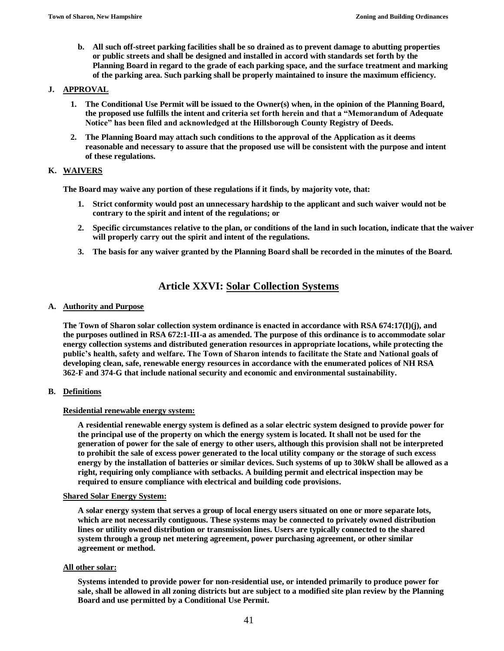**b. All such off-street parking facilities shall be so drained as to prevent damage to abutting properties or public streets and shall be designed and installed in accord with standards set forth by the Planning Board in regard to the grade of each parking space, and the surface treatment and marking of the parking area. Such parking shall be properly maintained to insure the maximum efficiency.**

## **J. APPROVAL**

- **1. The Conditional Use Permit will be issued to the Owner(s) when, in the opinion of the Planning Board, the proposed use fulfills the intent and criteria set forth herein and that a "Memorandum of Adequate Notice" has been filed and acknowledged at the Hillsborough County Registry of Deeds.**
- **2. The Planning Board may attach such conditions to the approval of the Application as it deems reasonable and necessary to assure that the proposed use will be consistent with the purpose and intent of these regulations.**

## **K. WAIVERS**

**The Board may waive any portion of these regulations if it finds, by majority vote, that:**

- **1. Strict conformity would post an unnecessary hardship to the applicant and such waiver would not be contrary to the spirit and intent of the regulations; or**
- **2. Specific circumstances relative to the plan, or conditions of the land in such location, indicate that the waiver will properly carry out the spirit and intent of the regulations.**
- **3. The basis for any waiver granted by the Planning Board shall be recorded in the minutes of the Board.**

# **Article XXVI: Solar Collection Systems**

## **A. Authority and Purpose**

**The Town of Sharon solar collection system ordinance is enacted in accordance with RSA 674:17(I)(j), and the purposes outlined in RSA 672:1-III-a as amended. The purpose of this ordinance is to accommodate solar energy collection systems and distributed generation resources in appropriate locations, while protecting the public's health, safety and welfare. The Town of Sharon intends to facilitate the State and National goals of developing clean, safe, renewable energy resources in accordance with the enumerated polices of NH RSA 362-F and 374-G that include national security and economic and environmental sustainability.**

## **B. Definitions**

## **Residential renewable energy system:**

**A residential renewable energy system is defined as a solar electric system designed to provide power for the principal use of the property on which the energy system is located. It shall not be used for the generation of power for the sale of energy to other users, although this provision shall not be interpreted to prohibit the sale of excess power generated to the local utility company or the storage of such excess energy by the installation of batteries or similar devices. Such systems of up to 30kW shall be allowed as a right, requiring only compliance with setbacks. A building permit and electrical inspection may be required to ensure compliance with electrical and building code provisions.**

### **Shared Solar Energy System:**

**A solar energy system that serves a group of local energy users situated on one or more separate lots, which are not necessarily contiguous. These systems may be connected to privately owned distribution lines or utility owned distribution or transmission lines. Users are typically connected to the shared system through a group net metering agreement, power purchasing agreement, or other similar agreement or method.** 

### **All other solar:**

**Systems intended to provide power for non-residential use, or intended primarily to produce power for sale, shall be allowed in all zoning districts but are subject to a modified site plan review by the Planning Board and use permitted by a Conditional Use Permit.**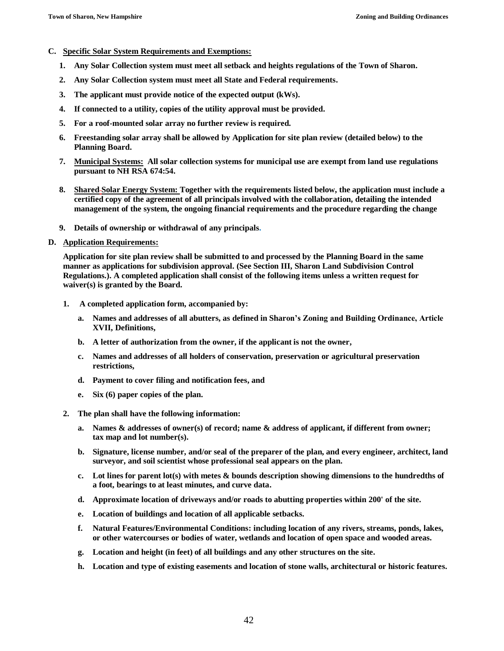- **C. Specific Solar System Requirements and Exemptions:**
	- **1. Any Solar Collection system must meet all setback and heights regulations of the Town of Sharon.**
	- **2. Any Solar Collection system must meet all State and Federal requirements.**
	- **3. The applicant must provide notice of the expected output (kWs).**
	- **4. If connected to a utility, copies of the utility approval must be provided.**
	- **5. For a roof-mounted solar array no further review is required.**
	- **6. Freestanding solar array shall be allowed by Application for site plan review (detailed below) to the Planning Board.**
	- **7. Municipal Systems: All solar collection systems for municipal use are exempt from land use regulations pursuant to NH RSA 674:54.**
	- **8. Shared Solar Energy System: Together with the requirements listed below, the application must include a certified copy of the agreement of all principals involved with the collaboration, detailing the intended management of the system, the ongoing financial requirements and the procedure regarding the change**
	- **9. Details of ownership or withdrawal of any principals.**

## **D. Application Requirements:**

**Application for site plan review shall be submitted to and processed by the Planning Board in the same manner as applications for subdivision approval. (See Section III, Sharon Land Subdivision Control Regulations.). A completed application shall consist of the following items unless a written request for waiver(s) is granted by the Board.**

- **1. A completed application form, accompanied by:**
	- **a. Names and addresses of all abutters, as defined in Sharon's Zoning and Building Ordinance, Article XVII, Definitions,**
	- **b. A letter of authorization from the owner, if the applicant is not the owner,**
	- **c. Names and addresses of all holders of conservation, preservation or agricultural preservation restrictions,**
	- **d. Payment to cover filing and notification fees, and**
	- **e. Six (6) paper copies of the plan.**
- **2. The plan shall have the following information:**
	- **a. Names & addresses of owner(s) of record; name & address of applicant, if different from owner; tax map and lot number(s).**
	- **b. Signature, license number, and/or seal of the preparer of the plan, and every engineer, architect, land surveyor, and soil scientist whose professional seal appears on the plan.**
	- **c. Lot lines for parent lot(s) with metes & bounds description showing dimensions to the hundredths of a foot, bearings to at least minutes, and curve data.**
	- **d. Approximate location of driveways and/or roads to abutting properties within 200' of the site.**
	- **e. Location of buildings and location of all applicable setbacks.**
	- **f. Natural Features/Environmental Conditions: including location of any rivers, streams, ponds, lakes, or other watercourses or bodies of water, wetlands and location of open space and wooded areas.**
	- **g. Location and height (in feet) of all buildings and any other structures on the site.**
	- **h. Location and type of existing easements and location of stone walls, architectural or historic features.**